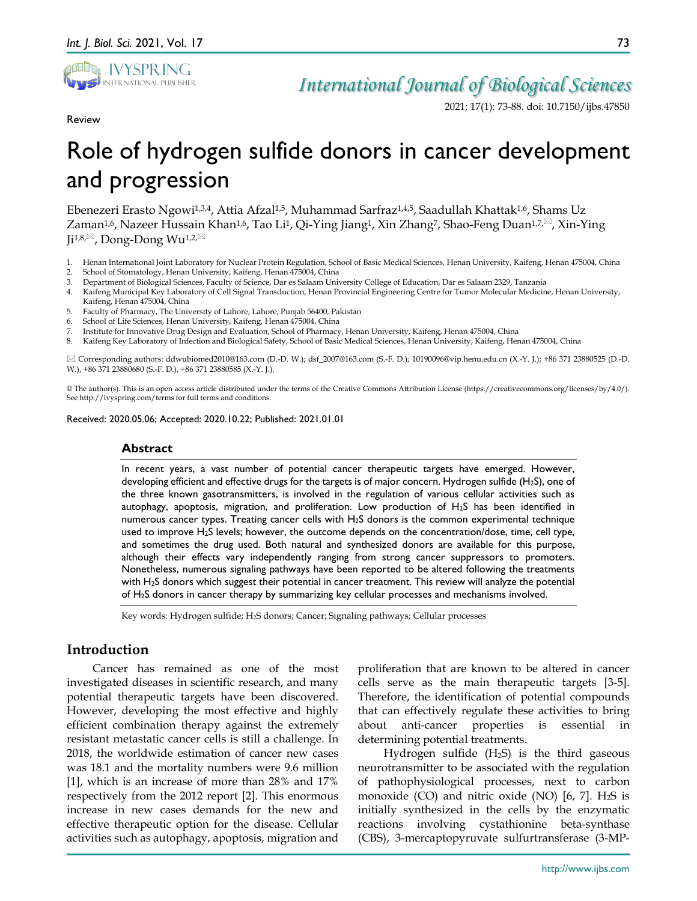

Review

2021; 17(1): 73-88. doi: 10.7150/ijbs.47850

# Role of hydrogen sulfide donors in cancer development and progression

Ebenezeri Erasto Ngowi<sup>1,3,4</sup>, Attia Afzal<sup>1,5</sup>, Muhammad Sarfraz<sup>1,4,5</sup>, Saadullah Khattak<sup>1,6</sup>, Shams Uz Zaman<sup>1,6</sup>, Nazeer Hussain Khan<sup>1,6</sup>, Tao Li<sup>1</sup>, Qi-Ying Jiang<sup>1</sup>, Xin Zhang<sup>7</sup>, Shao-Feng Duan<sup>1,7, $\approx$ , Xin-Ying</sup>  $Ji^{1,8,\boxtimes}$ , Dong-Dong Wu<sup>1,2, $\boxtimes$ </sup>

- 1. Henan International Joint Laboratory for Nuclear Protein Regulation, School of Basic Medical Sciences, Henan University, Kaifeng, Henan 475004, China
- 2. School of Stomatology, Henan University, Kaifeng, Henan 475004, China<br>3. Department of Biological Sciences, Faculty of Science, Dar es Salaam Uni 3. Department of Biological Sciences, Faculty of Science, Dar es Salaam University College of Education, Dar es Salaam 2329, Tanzania
- 4. Kaifeng Municipal Key Laboratory of Cell Signal Transduction, Henan Provincial Engineering Centre for Tumor Molecular Medicine, Henan University,
- Kaifeng, Henan 475004, China
- 5. Faculty of Pharmacy, The University of Lahore, Lahore, Punjab 56400, Pakistan
- 6. School of Life Sciences, Henan University, Kaifeng, Henan 475004, China
- 7. Institute for Innovative Drug Design and Evaluation, School of Pharmacy, Henan University, Kaifeng, Henan 475004, China
- 8. Kaifeng Key Laboratory of Infection and Biological Safety, School of Basic Medical Sciences, Henan University, Kaifeng, Henan 475004, China

 Corresponding authors: ddwubiomed2010@163.com (D.-D. W.); dsf\_2007@163.com (S.-F. D.); 10190096@vip.henu.edu.cn (X.-Y. J.); +86 371 23880525 (D.-D. W.), +86 371 23880680 (S.-F. D.), +86 371 23880585 (X.-Y. J.).

© The author(s). This is an open access article distributed under the terms of the Creative Commons Attribution License (https://creativecommons.org/licenses/by/4.0/). See http://ivyspring.com/terms for full terms and conditions.

Received: 2020.05.06; Accepted: 2020.10.22; Published: 2021.01.01

#### **Abstract**

In recent years, a vast number of potential cancer therapeutic targets have emerged. However, developing efficient and effective drugs for the targets is of major concern. Hydrogen sulfide (H<sub>2</sub>S), one of the three known gasotransmitters, is involved in the regulation of various cellular activities such as autophagy, apoptosis, migration, and proliferation. Low production of H2S has been identified in numerous cancer types. Treating cancer cells with H2S donors is the common experimental technique used to improve  $H_2S$  levels; however, the outcome depends on the concentration/dose, time, cell type, and sometimes the drug used. Both natural and synthesized donors are available for this purpose, although their effects vary independently ranging from strong cancer suppressors to promoters. Nonetheless, numerous signaling pathways have been reported to be altered following the treatments with H<sub>2</sub>S donors which suggest their potential in cancer treatment. This review will analyze the potential of H2S donors in cancer therapy by summarizing key cellular processes and mechanisms involved.

Key words: Hydrogen sulfide; H2S donors; Cancer; Signaling pathways; Cellular processes

# **Introduction**

Cancer has remained as one of the most investigated diseases in scientific research, and many potential therapeutic targets have been discovered. However, developing the most effective and highly efficient combination therapy against the extremely resistant metastatic cancer cells is still a challenge. In 2018, the worldwide estimation of cancer new cases was 18.1 and the mortality numbers were 9.6 million [1], which is an increase of more than 28% and 17% respectively from the 2012 report [2]. This enormous increase in new cases demands for the new and effective therapeutic option for the disease. Cellular activities such as autophagy, apoptosis, migration and

proliferation that are known to be altered in cancer cells serve as the main therapeutic targets [3-5]. Therefore, the identification of potential compounds that can effectively regulate these activities to bring about anti-cancer properties is essential in determining potential treatments.

Hydrogen sulfide  $(H_2S)$  is the third gaseous neurotransmitter to be associated with the regulation of pathophysiological processes, next to carbon monoxide (CO) and nitric oxide (NO) [6, 7].  $H_2S$  is initially synthesized in the cells by the enzymatic reactions involving cystathionine beta-synthase (CBS), 3-mercaptopyruvate sulfurtransferase (3-MP-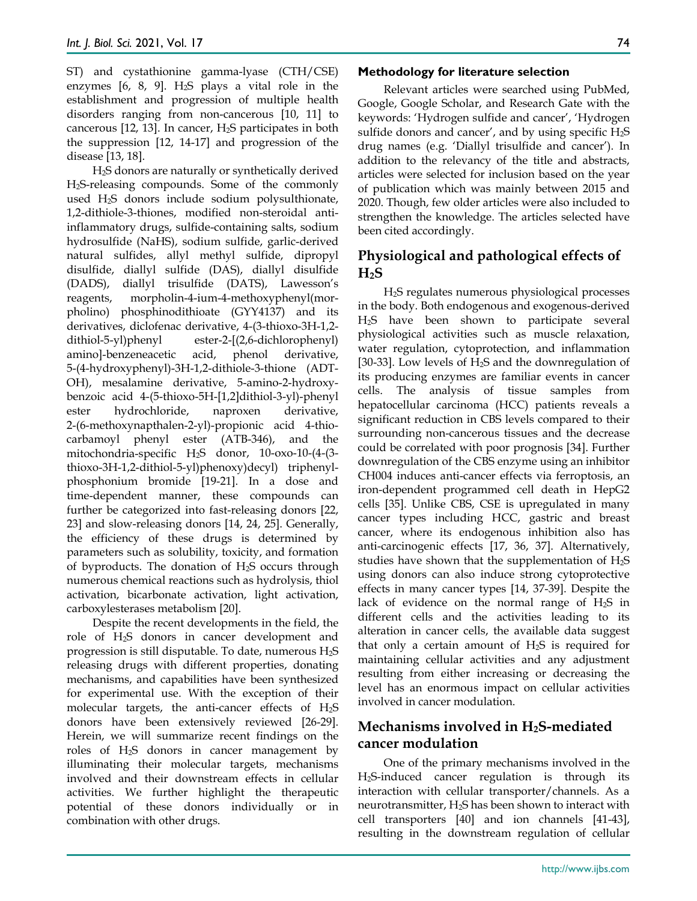ST) and cystathionine gamma-lyase (CTH/CSE) enzymes  $[6, 8, 9]$ . H<sub>2</sub>S plays a vital role in the establishment and progression of multiple health disorders ranging from non-cancerous [10, 11] to cancerous [12, 13]. In cancer, H2S participates in both the suppression [12, 14-17] and progression of the disease [13, 18].

H2S donors are naturally or synthetically derived H2S-releasing compounds. Some of the commonly used H2S donors include sodium polysulthionate, 1,2-dithiole-3-thiones, modified non-steroidal antiinflammatory drugs, sulfide-containing salts, sodium hydrosulfide (NaHS), sodium sulfide, garlic-derived natural sulfides, allyl methyl sulfide, dipropyl disulfide, diallyl sulfide (DAS), diallyl disulfide (DADS), diallyl trisulfide (DATS), Lawesson's reagents, morpholin-4-ium-4-methoxyphenyl(morpholino) phosphinodithioate (GYY4137) and its derivatives, diclofenac derivative, 4-(3-thioxo-3H-1,2 dithiol-5-yl)phenyl ester-2-[(2,6-dichlorophenyl) amino]-benzeneacetic acid, phenol derivative, 5-(4-hydroxyphenyl)-3H-1,2-dithiole-3-thione (ADT-OH), mesalamine derivative, 5-amino-2-hydroxybenzoic acid 4-(5-thioxo-5H-[1,2]dithiol-3-yl)-phenyl ester hydrochloride, naproxen derivative, 2-(6-methoxynapthalen-2-yl)-propionic acid 4-thiocarbamoyl phenyl ester (ATB-346), and the mitochondria-specific H2S donor, 10-oxo-10-(4-(3 thioxo-3H-1,2-dithiol-5-yl)phenoxy)decyl) triphenylphosphonium bromide [19-21]. In a dose and time-dependent manner, these compounds can further be categorized into fast-releasing donors [22, 23] and slow-releasing donors [14, 24, 25]. Generally, the efficiency of these drugs is determined by parameters such as solubility, toxicity, and formation of byproducts. The donation of  $H_2S$  occurs through numerous chemical reactions such as hydrolysis, thiol activation, bicarbonate activation, light activation, carboxylesterases metabolism [20].

Despite the recent developments in the field, the role of H2S donors in cancer development and progression is still disputable. To date, numerous  $H_2S$ releasing drugs with different properties, donating mechanisms, and capabilities have been synthesized for experimental use. With the exception of their molecular targets, the anti-cancer effects of  $H_2S$ donors have been extensively reviewed [26-29]. Herein, we will summarize recent findings on the roles of H2S donors in cancer management by illuminating their molecular targets, mechanisms involved and their downstream effects in cellular activities. We further highlight the therapeutic potential of these donors individually or in combination with other drugs.

#### **Methodology for literature selection**

Relevant articles were searched using PubMed, Google, Google Scholar, and Research Gate with the keywords: 'Hydrogen sulfide and cancer', 'Hydrogen sulfide donors and cancer', and by using specific  $H_2S$ drug names (e.g. 'Diallyl trisulfide and cancer'). In addition to the relevancy of the title and abstracts, articles were selected for inclusion based on the year of publication which was mainly between 2015 and 2020. Though, few older articles were also included to strengthen the knowledge. The articles selected have been cited accordingly.

# **Physiological and pathological effects of H2S**

H2S regulates numerous physiological processes in the body. Both endogenous and exogenous-derived H2S have been shown to participate several physiological activities such as muscle relaxation, water regulation, cytoprotection, and inflammation [30-33]. Low levels of  $H_2S$  and the downregulation of its producing enzymes are familiar events in cancer cells. The analysis of tissue samples from hepatocellular carcinoma (HCC) patients reveals a significant reduction in CBS levels compared to their surrounding non-cancerous tissues and the decrease could be correlated with poor prognosis [34]. Further downregulation of the CBS enzyme using an inhibitor CH004 induces anti-cancer effects via ferroptosis, an iron-dependent programmed cell death in HepG2 cells [35]. Unlike CBS, CSE is upregulated in many cancer types including HCC, gastric and breast cancer, where its endogenous inhibition also has anti-carcinogenic effects [17, 36, 37]. Alternatively, studies have shown that the supplementation of  $H_2S$ using donors can also induce strong cytoprotective effects in many cancer types [14, 37-39]. Despite the lack of evidence on the normal range of  $H_2S$  in different cells and the activities leading to its alteration in cancer cells, the available data suggest that only a certain amount of  $H_2S$  is required for maintaining cellular activities and any adjustment resulting from either increasing or decreasing the level has an enormous impact on cellular activities involved in cancer modulation.

# **Mechanisms involved in H2S-mediated cancer modulation**

One of the primary mechanisms involved in the H2S-induced cancer regulation is through its interaction with cellular transporter/channels. As a neurotransmitter, H2S has been shown to interact with cell transporters [40] and ion channels [41-43], resulting in the downstream regulation of cellular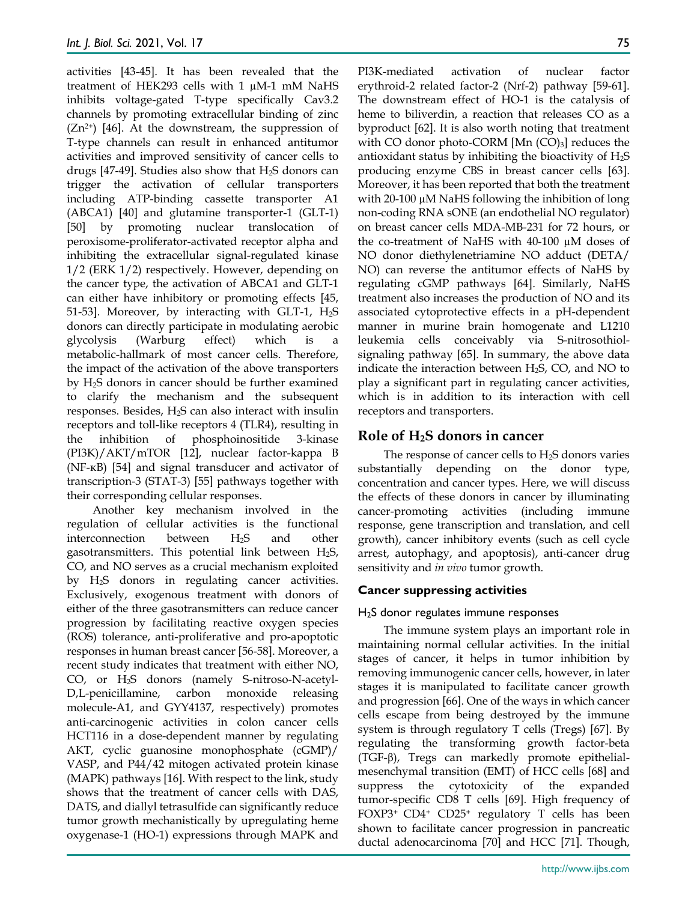activities [43-45]. It has been revealed that the treatment of HEK293 cells with 1 µM-1 mM NaHS inhibits voltage-gated T-type specifically Cav3.2 channels by promoting extracellular binding of zinc  $(Zn^{2+})$  [46]. At the downstream, the suppression of T-type channels can result in enhanced antitumor activities and improved sensitivity of cancer cells to drugs [47-49]. Studies also show that  $H_2S$  donors can trigger the activation of cellular transporters including ATP-binding cassette transporter A1 (ABCA1) [40] and glutamine transporter-1 (GLT-1) [50] by promoting nuclear translocation of peroxisome-proliferator-activated receptor alpha and inhibiting the extracellular signal-regulated kinase 1/2 (ERK 1/2) respectively. However, depending on the cancer type, the activation of ABCA1 and GLT-1 can either have inhibitory or promoting effects [45, 51-53]. Moreover, by interacting with GLT-1,  $H_2S$ donors can directly participate in modulating aerobic glycolysis (Warburg effect) which is a metabolic-hallmark of most cancer cells. Therefore, the impact of the activation of the above transporters by H2S donors in cancer should be further examined to clarify the mechanism and the subsequent responses. Besides, H2S can also interact with insulin receptors and toll-like receptors 4 (TLR4), resulting in the inhibition of phosphoinositide 3-kinase (PI3K)/AKT/mTOR [12], nuclear factor-kappa B (NF-кB) [54] and signal transducer and activator of transcription-3 (STAT-3) [55] pathways together with their corresponding cellular responses.

Another key mechanism involved in the regulation of cellular activities is the functional interconnection between H2S and other gasotransmitters. This potential link between  $H_2S$ , CO, and NO serves as a crucial mechanism exploited by H2S donors in regulating cancer activities. Exclusively, exogenous treatment with donors of either of the three gasotransmitters can reduce cancer progression by facilitating reactive oxygen species (ROS) tolerance, anti-proliferative and pro-apoptotic responses in human breast cancer [56-58]. Moreover, a recent study indicates that treatment with either NO, CO, or H2S donors (namely S-nitroso-N-acetyl-D,L-penicillamine, carbon monoxide releasing molecule-A1, and GYY4137, respectively) promotes anti-carcinogenic activities in colon cancer cells HCT116 in a dose-dependent manner by regulating AKT, cyclic guanosine monophosphate (cGMP)/ VASP, and P44/42 mitogen activated protein kinase (MAPK) pathways [16]. With respect to the link, study shows that the treatment of cancer cells with DAS, DATS, and diallyl tetrasulfide can significantly reduce tumor growth mechanistically by upregulating heme oxygenase-1 (HO-1) expressions through MAPK and

PI3K-mediated activation of nuclear factor erythroid-2 related factor-2 (Nrf-2) pathway [59-61]. The downstream effect of HO-1 is the catalysis of heme to biliverdin, a reaction that releases CO as a byproduct [62]. It is also worth noting that treatment with CO donor photo-CORM [Mn (CO)<sub>3</sub>] reduces the antioxidant status by inhibiting the bioactivity of  $H_2S$ producing enzyme CBS in breast cancer cells [63]. Moreover, it has been reported that both the treatment with 20-100 µM NaHS following the inhibition of long non-coding RNA sONE (an endothelial NO regulator) on breast cancer cells MDA-MB-231 for 72 hours, or the co-treatment of NaHS with 40-100 µM doses of NO donor diethylenetriamine NO adduct (DETA/ NO) can reverse the antitumor effects of NaHS by regulating cGMP pathways [64]. Similarly, NaHS treatment also increases the production of NO and its associated cytoprotective effects in a pH-dependent manner in murine brain homogenate and L1210 leukemia cells conceivably via S-nitrosothiolsignaling pathway [65]. In summary, the above data indicate the interaction between  $H_2S$ , CO, and NO to play a significant part in regulating cancer activities, which is in addition to its interaction with cell receptors and transporters.

# **Role of H2S donors in cancer**

The response of cancer cells to  $H<sub>2</sub>S$  donors varies substantially depending on the donor type, concentration and cancer types. Here, we will discuss the effects of these donors in cancer by illuminating cancer-promoting activities (including immune response, gene transcription and translation, and cell growth), cancer inhibitory events (such as cell cycle arrest, autophagy, and apoptosis), anti-cancer drug sensitivity and *in vivo* tumor growth.

# **Cancer suppressing activities**

# H2S donor regulates immune responses

The immune system plays an important role in maintaining normal cellular activities. In the initial stages of cancer, it helps in tumor inhibition by removing immunogenic cancer cells, however, in later stages it is manipulated to facilitate cancer growth and progression [66]. One of the ways in which cancer cells escape from being destroyed by the immune system is through regulatory T cells (Tregs) [67]. By regulating the transforming growth factor-beta  $(TGF- $\beta$ ), Tregs can markedly promote epithelial$ mesenchymal transition (EMT) of HCC cells [68] and suppress the cytotoxicity of the expanded tumor-specific CD8 T cells [69]. High frequency of FOXP3+ CD4+ CD25+ regulatory T cells has been shown to facilitate cancer progression in pancreatic ductal adenocarcinoma [70] and HCC [71]. Though,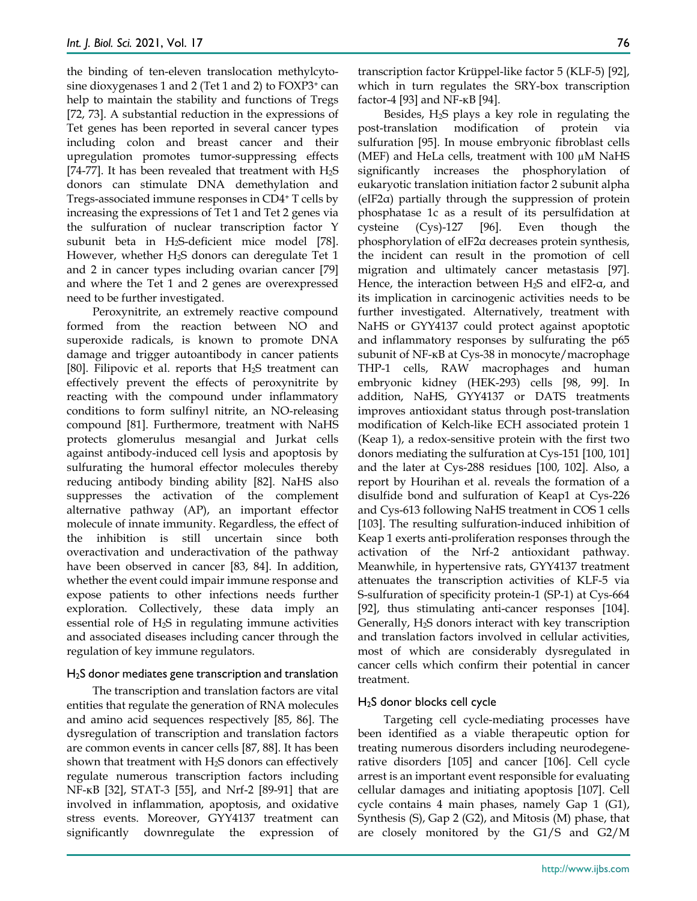the binding of ten-eleven translocation methylcytosine dioxygenases 1 and 2 (Tet 1 and 2) to FOXP3+ can help to maintain the stability and functions of Tregs [72, 73]. A substantial reduction in the expressions of Tet genes has been reported in several cancer types including colon and breast cancer and their upregulation promotes tumor-suppressing effects [74-77]. It has been revealed that treatment with  $H_2S$ donors can stimulate DNA demethylation and Tregs-associated immune responses in CD4+ T cells by increasing the expressions of Tet 1 and Tet 2 genes via the sulfuration of nuclear transcription factor Y subunit beta in H2S-deficient mice model [78]. However, whether  $H_2S$  donors can deregulate Tet 1 and 2 in cancer types including ovarian cancer [79] and where the Tet 1 and 2 genes are overexpressed need to be further investigated.

Peroxynitrite, an extremely reactive compound formed from the reaction between NO and superoxide radicals, is known to promote DNA damage and trigger autoantibody in cancer patients [80]. Filipovic et al. reports that  $H_2S$  treatment can effectively prevent the effects of peroxynitrite by reacting with the compound under inflammatory conditions to form sulfinyl nitrite, an NO-releasing compound [81]. Furthermore, treatment with NaHS protects glomerulus mesangial and Jurkat cells against antibody-induced cell lysis and apoptosis by sulfurating the humoral effector molecules thereby reducing antibody binding ability [82]. NaHS also suppresses the activation of the complement alternative pathway (AP), an important effector molecule of innate immunity. Regardless, the effect of the inhibition is still uncertain since both overactivation and underactivation of the pathway have been observed in cancer [83, 84]. In addition, whether the event could impair immune response and expose patients to other infections needs further exploration. Collectively, these data imply an essential role of  $H_2S$  in regulating immune activities and associated diseases including cancer through the regulation of key immune regulators.

## $H<sub>2</sub>S$  donor mediates gene transcription and translation

The transcription and translation factors are vital entities that regulate the generation of RNA molecules and amino acid sequences respectively [85, 86]. The dysregulation of transcription and translation factors are common events in cancer cells [87, 88]. It has been shown that treatment with  $H_2S$  donors can effectively regulate numerous transcription factors including NF-кB [32], STAT-3 [55], and Nrf-2 [89-91] that are involved in inflammation, apoptosis, and oxidative stress events. Moreover, GYY4137 treatment can significantly downregulate the expression of

transcription factor Krüppel-like factor 5 (KLF-5) [92], which in turn regulates the SRY-box transcription factor-4 [93] and NF-кB [94].

Besides,  $H_2S$  plays a key role in regulating the post-translation modification of protein via sulfuration [95]. In mouse embryonic fibroblast cells (MEF) and HeLa cells, treatment with  $100 \mu M$  NaHS significantly increases the phosphorylation of eukaryotic translation initiation factor 2 subunit alpha (eIF2α) partially through the suppression of protein phosphatase 1c as a result of its persulfidation at cysteine (Cys)-127 [96]. Even though the phosphorylation of eIF2α decreases protein synthesis, the incident can result in the promotion of cell migration and ultimately cancer metastasis [97]. Hence, the interaction between  $H_2S$  and eIF2- $\alpha$ , and its implication in carcinogenic activities needs to be further investigated. Alternatively, treatment with NaHS or GYY4137 could protect against apoptotic and inflammatory responses by sulfurating the p65 subunit of NF-кB at Cys-38 in monocyte/macrophage THP-1 cells, RAW macrophages and human embryonic kidney (HEK-293) cells [98, 99]. In addition, NaHS, GYY4137 or DATS treatments improves antioxidant status through post-translation modification of Kelch-like ECH associated protein 1 (Keap 1), a redox-sensitive protein with the first two donors mediating the sulfuration at Cys-151 [100, 101] and the later at Cys-288 residues [100, 102]. Also, a report by Hourihan et al. reveals the formation of a disulfide bond and sulfuration of Keap1 at Cys-226 and Cys-613 following NaHS treatment in COS 1 cells [103]. The resulting sulfuration-induced inhibition of Keap 1 exerts anti-proliferation responses through the activation of the Nrf-2 antioxidant pathway. Meanwhile, in hypertensive rats, GYY4137 treatment attenuates the transcription activities of KLF-5 via S-sulfuration of specificity protein-1 (SP-1) at Cys-664 [92], thus stimulating anti-cancer responses [104]. Generally, H2S donors interact with key transcription and translation factors involved in cellular activities, most of which are considerably dysregulated in cancer cells which confirm their potential in cancer treatment.

## H2S donor blocks cell cycle

Targeting cell cycle-mediating processes have been identified as a viable therapeutic option for treating numerous disorders including neurodegenerative disorders [105] and cancer [106]. Cell cycle arrest is an important event responsible for evaluating cellular damages and initiating apoptosis [107]. Cell cycle contains 4 main phases, namely Gap 1 (G1), Synthesis (S), Gap 2 (G2), and Mitosis (M) phase, that are closely monitored by the G1/S and G2/M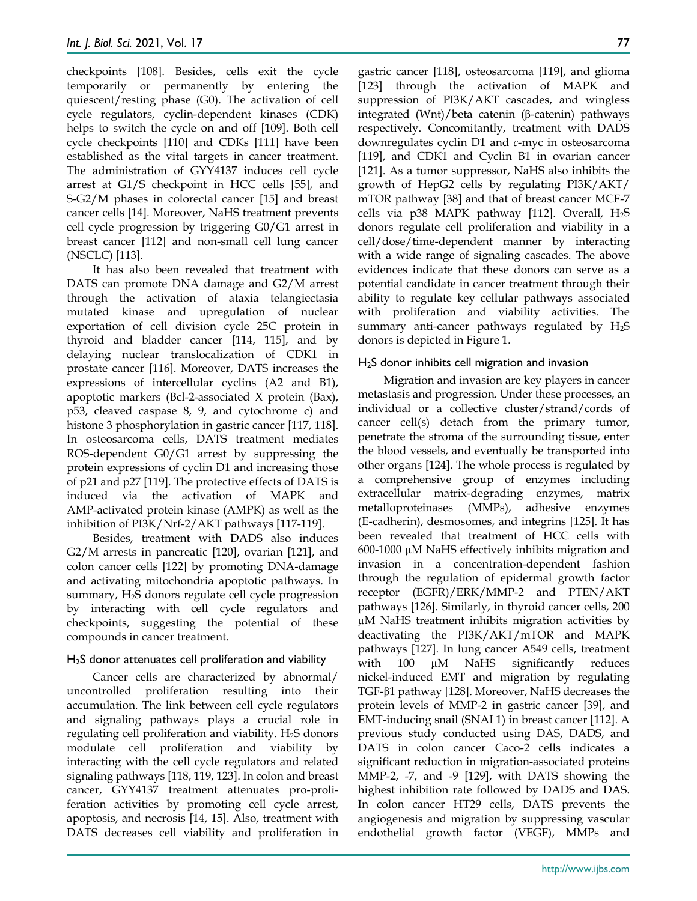checkpoints [108]. Besides, cells exit the cycle temporarily or permanently by entering the quiescent/resting phase (G0). The activation of cell cycle regulators, cyclin-dependent kinases (CDK) helps to switch the cycle on and off [109]. Both cell cycle checkpoints [110] and CDKs [111] have been established as the vital targets in cancer treatment. The administration of GYY4137 induces cell cycle arrest at G1/S checkpoint in HCC cells [55], and S-G2/M phases in colorectal cancer [15] and breast cancer cells [14]. Moreover, NaHS treatment prevents cell cycle progression by triggering G0/G1 arrest in breast cancer [112] and non-small cell lung cancer (NSCLC) [113].

It has also been revealed that treatment with DATS can promote DNA damage and G2/M arrest through the activation of ataxia telangiectasia mutated kinase and upregulation of nuclear exportation of cell division cycle 25C protein in thyroid and bladder cancer [114, 115], and by delaying nuclear translocalization of CDK1 in prostate cancer [116]. Moreover, DATS increases the expressions of intercellular cyclins (A2 and B1), apoptotic markers (Bcl-2-associated X protein (Bax), p53, cleaved caspase 8, 9, and cytochrome c) and histone 3 phosphorylation in gastric cancer [117, 118]. In osteosarcoma cells, DATS treatment mediates ROS-dependent G0/G1 arrest by suppressing the protein expressions of cyclin D1 and increasing those of p21 and p27 [119]. The protective effects of DATS is induced via the activation of MAPK and AMP-activated protein kinase (AMPK) as well as the inhibition of PI3K/Nrf-2/AKT pathways [117-119].

Besides, treatment with DADS also induces G2/M arrests in pancreatic [120], ovarian [121], and colon cancer cells [122] by promoting DNA-damage and activating mitochondria apoptotic pathways. In summary, H2S donors regulate cell cycle progression by interacting with cell cycle regulators and checkpoints, suggesting the potential of these compounds in cancer treatment.

## H<sub>2</sub>S donor attenuates cell proliferation and viability

Cancer cells are characterized by abnormal/ uncontrolled proliferation resulting into their accumulation. The link between cell cycle regulators and signaling pathways plays a crucial role in regulating cell proliferation and viability. H<sub>2</sub>S donors modulate cell proliferation and viability by interacting with the cell cycle regulators and related signaling pathways [118, 119, 123]. In colon and breast cancer, GYY4137 treatment attenuates pro-proliferation activities by promoting cell cycle arrest, apoptosis, and necrosis [14, 15]. Also, treatment with DATS decreases cell viability and proliferation in

gastric cancer [118], osteosarcoma [119], and glioma [123] through the activation of MAPK and suppression of PI3K/AKT cascades, and wingless integrated  $(Wnt)/beta$  catenin  $(\beta$ -catenin) pathways respectively. Concomitantly, treatment with DADS downregulates cyclin D1 and *c-*myc in osteosarcoma [119], and CDK1 and Cyclin B1 in ovarian cancer [121]. As a tumor suppressor, NaHS also inhibits the growth of HepG2 cells by regulating PI3K/AKT/ mTOR pathway [38] and that of breast cancer MCF-7 cells via p38 MAPK pathway [112]. Overall, H<sub>2</sub>S donors regulate cell proliferation and viability in a cell/dose/time-dependent manner by interacting with a wide range of signaling cascades. The above evidences indicate that these donors can serve as a potential candidate in cancer treatment through their ability to regulate key cellular pathways associated with proliferation and viability activities. The summary anti-cancer pathways regulated by  $H_2S$ donors is depicted in Figure 1.

## H<sub>2</sub>S donor inhibits cell migration and invasion

Migration and invasion are key players in cancer metastasis and progression. Under these processes, an individual or a collective cluster/strand/cords of cancer cell(s) detach from the primary tumor, penetrate the stroma of the surrounding tissue, enter the blood vessels, and eventually be transported into other organs [124]. The whole process is regulated by a comprehensive group of enzymes including extracellular matrix-degrading enzymes, matrix metalloproteinases (MMPs), adhesive enzymes (E-cadherin), desmosomes, and integrins [125]. It has been revealed that treatment of HCC cells with 600-1000 µM NaHS effectively inhibits migration and invasion in a concentration-dependent fashion through the regulation of epidermal growth factor receptor (EGFR)/ERK/MMP-2 and PTEN/AKT pathways [126]. Similarly, in thyroid cancer cells, 200 µM NaHS treatment inhibits migration activities by deactivating the PI3K/AKT/mTOR and MAPK pathways [127]. In lung cancer A549 cells, treatment with 100  $\mu$ M NaHS significantly reduces nickel-induced EMT and migration by regulating TGF-β1 pathway [128]. Moreover, NaHS decreases the protein levels of MMP-2 in gastric cancer [39], and EMT-inducing snail (SNAI 1) in breast cancer [112]. A previous study conducted using DAS, DADS, and DATS in colon cancer Caco-2 cells indicates a significant reduction in migration-associated proteins MMP-2, -7, and -9 [129], with DATS showing the highest inhibition rate followed by DADS and DAS. In colon cancer HT29 cells, DATS prevents the angiogenesis and migration by suppressing vascular endothelial growth factor (VEGF), MMPs and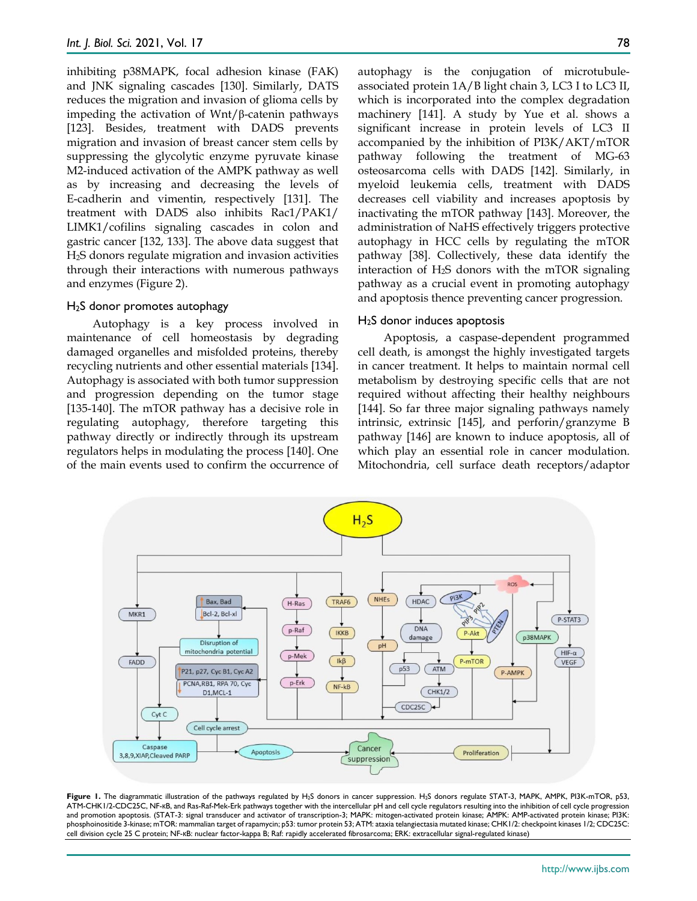inhibiting p38MAPK, focal adhesion kinase (FAK) and JNK signaling cascades [130]. Similarly, DATS reduces the migration and invasion of glioma cells by impeding the activation of  $Wnt/\beta$ -catenin pathways [123]. Besides, treatment with DADS prevents migration and invasion of breast cancer stem cells by suppressing the glycolytic enzyme pyruvate kinase M2-induced activation of the AMPK pathway as well as by increasing and decreasing the levels of E-cadherin and vimentin, respectively [131]. The treatment with DADS also inhibits Rac1/PAK1/ LIMK1/cofilins signaling cascades in colon and gastric cancer [132, 133]. The above data suggest that H2S donors regulate migration and invasion activities through their interactions with numerous pathways and enzymes (Figure 2).

#### H2S donor promotes autophagy

Autophagy is a key process involved in maintenance of cell homeostasis by degrading damaged organelles and misfolded proteins, thereby recycling nutrients and other essential materials [134]. Autophagy is associated with both tumor suppression and progression depending on the tumor stage [135-140]. The mTOR pathway has a decisive role in regulating autophagy, therefore targeting this pathway directly or indirectly through its upstream regulators helps in modulating the process [140]. One of the main events used to confirm the occurrence of autophagy is the conjugation of microtubuleassociated protein 1A/B light chain 3, LC3 I to LC3 II, which is incorporated into the complex degradation machinery [141]. A study by Yue et al. shows a significant increase in protein levels of LC3 II accompanied by the inhibition of PI3K/AKT/mTOR pathway following the treatment of MG-63 osteosarcoma cells with DADS [142]. Similarly, in myeloid leukemia cells, treatment with DADS decreases cell viability and increases apoptosis by inactivating the mTOR pathway [143]. Moreover, the administration of NaHS effectively triggers protective autophagy in HCC cells by regulating the mTOR pathway [38]. Collectively, these data identify the interaction of H2S donors with the mTOR signaling pathway as a crucial event in promoting autophagy and apoptosis thence preventing cancer progression.

#### H2S donor induces apoptosis

Apoptosis, a caspase-dependent programmed cell death, is amongst the highly investigated targets in cancer treatment. It helps to maintain normal cell metabolism by destroying specific cells that are not required without affecting their healthy neighbours [144]. So far three major signaling pathways namely intrinsic, extrinsic [145], and perforin/granzyme B pathway [146] are known to induce apoptosis, all of which play an essential role in cancer modulation. Mitochondria, cell surface death receptors/adaptor



Figure 1. The diagrammatic illustration of the pathways regulated by H<sub>2</sub>S donors in cancer suppression. H<sub>2</sub>S donors regulate STAT-3, MAPK, AMPK, PI3K-mTOR, p53, ATM-CHK1/2-CDC25C, NF-кB, and Ras-Raf-Mek-Erk pathways together with the intercellular pH and cell cycle regulators resulting into the inhibition of cell cycle progression and promotion apoptosis. (STAT-3: signal transducer and activator of transcription-3; MAPK: mitogen-activated protein kinase; AMPK: AMP-activated protein kinase; PI3K: phosphoinositide 3-kinase; mTOR: mammalian target of rapamycin; p53: tumor protein 53; ATM: ataxia telangiectasia mutated kinase; CHK1/2: checkpoint kinases 1/2; CDC25C: cell division cycle 25 C protein; NF-кB: nuclear factor-kappa B; Raf: rapidly accelerated fibrosarcoma; ERK: extracellular signal-regulated kinase)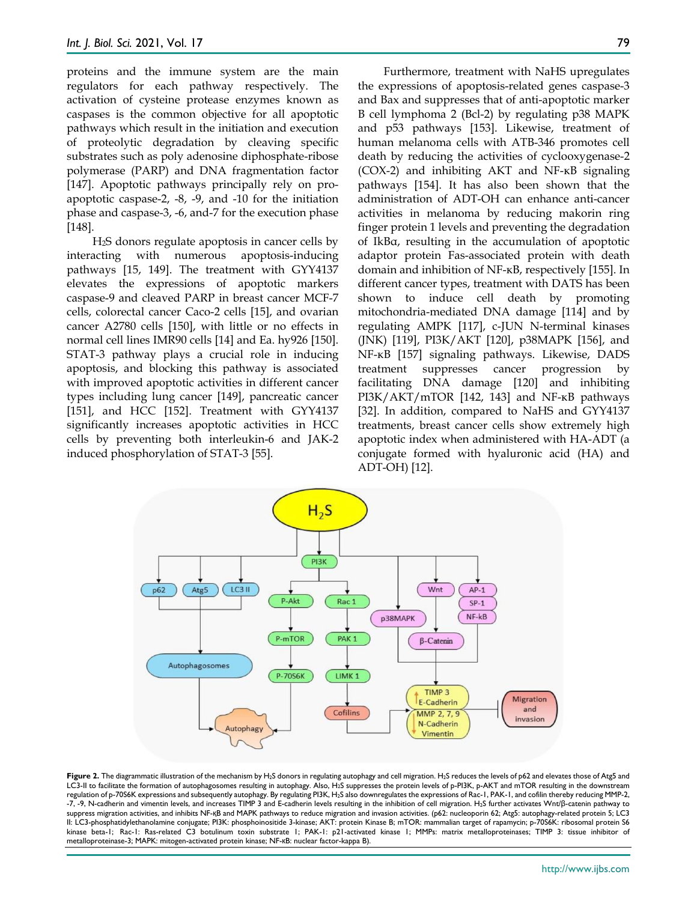proteins and the immune system are the main regulators for each pathway respectively. The activation of cysteine protease enzymes known as caspases is the common objective for all apoptotic pathways which result in the initiation and execution of proteolytic degradation by cleaving specific substrates such as poly adenosine diphosphate-ribose polymerase (PARP) and DNA fragmentation factor [147]. Apoptotic pathways principally rely on proapoptotic caspase-2, -8, -9, and -10 for the initiation phase and caspase-3, -6, and-7 for the execution phase [148].

H2S donors regulate apoptosis in cancer cells by interacting with numerous apoptosis-inducing pathways [15, 149]. The treatment with GYY4137 elevates the expressions of apoptotic markers caspase-9 and cleaved PARP in breast cancer MCF-7 cells, colorectal cancer Caco-2 cells [15], and ovarian cancer A2780 cells [150], with little or no effects in normal cell lines IMR90 cells [14] and Ea. hy926 [150]. STAT-3 pathway plays a crucial role in inducing apoptosis, and blocking this pathway is associated with improved apoptotic activities in different cancer types including lung cancer [149], pancreatic cancer [151], and HCC [152]. Treatment with GYY4137 significantly increases apoptotic activities in HCC cells by preventing both interleukin-6 and JAK-2 induced phosphorylation of STAT-3 [55].

Furthermore, treatment with NaHS upregulates the expressions of apoptosis-related genes caspase-3 and Bax and suppresses that of anti-apoptotic marker B cell lymphoma 2 (Bcl-2) by regulating p38 MAPK and p53 pathways [153]. Likewise, treatment of human melanoma cells with ATB-346 promotes cell death by reducing the activities of cyclooxygenase-2 (COX-2) and inhibiting AKT and NF-кB signaling pathways [154]. It has also been shown that the administration of ADT-OH can enhance anti-cancer activities in melanoma by reducing makorin ring finger protein 1 levels and preventing the degradation of IkBα, resulting in the accumulation of apoptotic adaptor protein Fas-associated protein with death domain and inhibition of NF-кB, respectively [155]. In different cancer types, treatment with DATS has been shown to induce cell death by promoting mitochondria-mediated DNA damage [114] and by regulating AMPK [117], c-JUN N-terminal kinases (JNK) [119], PI3K/AKT [120], p38MAPK [156], and NF-кB [157] signaling pathways. Likewise, DADS treatment suppresses cancer progression by facilitating DNA damage [120] and inhibiting PI3K/AKT/mTOR [142, 143] and NF-кB pathways [32]. In addition, compared to NaHS and GYY4137 treatments, breast cancer cells show extremely high apoptotic index when administered with HA-ADT (a conjugate formed with hyaluronic acid (HA) and ADT-OH) [12].



Figure 2. The diagrammatic illustration of the mechanism by H<sub>2</sub>S donors in regulating autophagy and cell migration. H<sub>2</sub>S reduces the levels of p62 and elevates those of Atg5 and LC3-II to facilitate the formation of autophagosomes resulting in autophagy. Also, H<sub>2</sub>S suppresses the protein levels of p-PI3K, p-AKT and mTOR resulting in the downstream regulation of p-70S6K expressions and subsequently autophagy. By regulating PI3K, H2S also downregulates the expressions of Rac-1, PAK-1, and cofilin thereby reducing MMP-2, -7, -9, N-cadherin and vimentin levels, and increases TIMP 3 and E-cadherin levels resulting in the inhibition of cell migration. H2S further activates Wnt/β-catenin pathway to suppress migration activities, and inhibits NF-қB and MAPK pathways to reduce migration and invasion activities. (p62: nucleoporin 62; Atg5: autophagy-related protein 5; LC3 II: LC3-phosphatidylethanolamine conjugate; PI3K: phosphoinositide 3-kinase; AKT: protein Kinase B; mTOR: mammalian target of rapamycin; p-70S6K: ribosomal protein S6 kinase beta-1; Rac-1: Ras-related C3 botulinum toxin substrate 1; PAK-1: p21-activated kinase 1; MMPs: matrix metalloproteinases; TIMP 3: tissue inhibitor of metalloproteinase-3; MAPK: mitogen-activated protein kinase; NF-кB: nuclear factor-kappa B).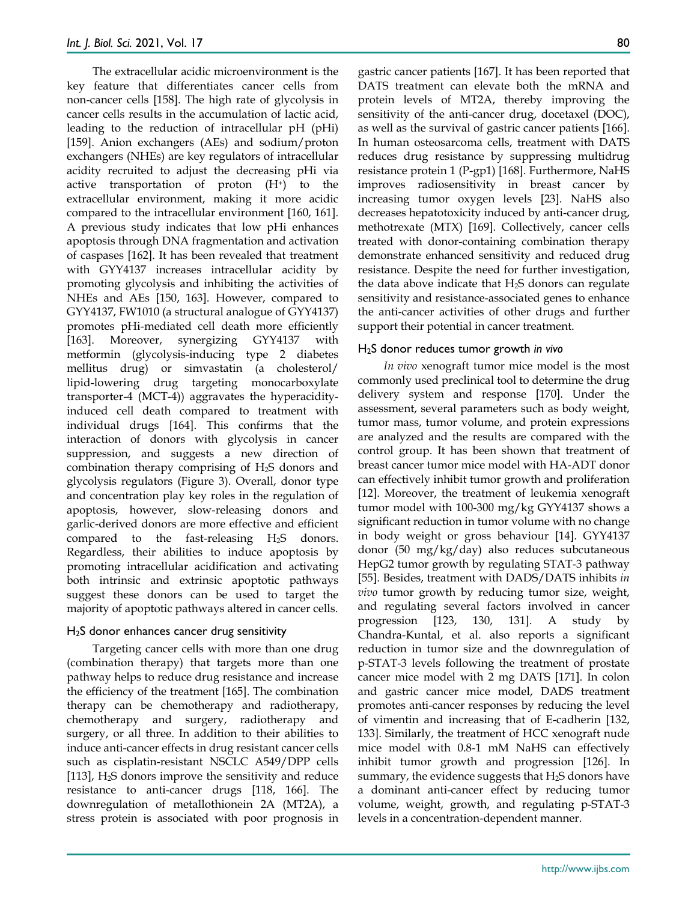The extracellular acidic microenvironment is the key feature that differentiates cancer cells from non-cancer cells [158]. The high rate of glycolysis in cancer cells results in the accumulation of lactic acid, leading to the reduction of intracellular pH (pHi) [159]. Anion exchangers (AEs) and sodium/proton exchangers (NHEs) are key regulators of intracellular acidity recruited to adjust the decreasing pHi via active transportation of proton  $(H^+)$  to the extracellular environment, making it more acidic compared to the intracellular environment [160, 161]. A previous study indicates that low pHi enhances apoptosis through DNA fragmentation and activation of caspases [162]. It has been revealed that treatment with GYY4137 increases intracellular acidity by promoting glycolysis and inhibiting the activities of NHEs and AEs [150, 163]. However, compared to GYY4137, FW1010 (a structural analogue of GYY4137) promotes pHi-mediated cell death more efficiently [163]. Moreover, synergizing GYY4137 with metformin (glycolysis-inducing type 2 diabetes mellitus drug) or simvastatin (a cholesterol/ lipid-lowering drug targeting monocarboxylate transporter-4 (MCT-4)) aggravates the hyperacidityinduced cell death compared to treatment with individual drugs [164]. This confirms that the interaction of donors with glycolysis in cancer suppression, and suggests a new direction of combination therapy comprising of H2S donors and glycolysis regulators (Figure 3). Overall, donor type and concentration play key roles in the regulation of apoptosis, however, slow-releasing donors and garlic-derived donors are more effective and efficient compared to the fast-releasing H2S donors. Regardless, their abilities to induce apoptosis by promoting intracellular acidification and activating both intrinsic and extrinsic apoptotic pathways suggest these donors can be used to target the majority of apoptotic pathways altered in cancer cells.

## H2S donor enhances cancer drug sensitivity

Targeting cancer cells with more than one drug (combination therapy) that targets more than one pathway helps to reduce drug resistance and increase the efficiency of the treatment [165]. The combination therapy can be chemotherapy and radiotherapy, chemotherapy and surgery, radiotherapy and surgery, or all three. In addition to their abilities to induce anti-cancer effects in drug resistant cancer cells such as cisplatin-resistant NSCLC A549/DPP cells [113],  $H<sub>2</sub>S$  donors improve the sensitivity and reduce resistance to anti-cancer drugs [118, 166]. The downregulation of metallothionein 2A (MT2A), a stress protein is associated with poor prognosis in

gastric cancer patients [167]. It has been reported that DATS treatment can elevate both the mRNA and protein levels of MT2A, thereby improving the sensitivity of the anti-cancer drug, docetaxel (DOC), as well as the survival of gastric cancer patients [166]. In human osteosarcoma cells, treatment with DATS reduces drug resistance by suppressing multidrug resistance protein 1 (P-gp1) [168]. Furthermore, NaHS improves radiosensitivity in breast cancer by increasing tumor oxygen levels [23]. NaHS also decreases hepatotoxicity induced by anti-cancer drug, methotrexate (MTX) [169]. Collectively, cancer cells treated with donor-containing combination therapy demonstrate enhanced sensitivity and reduced drug resistance. Despite the need for further investigation, the data above indicate that  $H_2S$  donors can regulate sensitivity and resistance-associated genes to enhance the anti-cancer activities of other drugs and further support their potential in cancer treatment.

## H2S donor reduces tumor growth *in vivo*

*In vivo* xenograft tumor mice model is the most commonly used preclinical tool to determine the drug delivery system and response [170]. Under the assessment, several parameters such as body weight, tumor mass, tumor volume, and protein expressions are analyzed and the results are compared with the control group. It has been shown that treatment of breast cancer tumor mice model with HA-ADT donor can effectively inhibit tumor growth and proliferation [12]. Moreover, the treatment of leukemia xenograft tumor model with 100-300 mg/kg GYY4137 shows a significant reduction in tumor volume with no change in body weight or gross behaviour [14]. GYY4137 donor (50 mg/kg/day) also reduces subcutaneous HepG2 tumor growth by regulating STAT-3 pathway [55]. Besides, treatment with DADS/DATS inhibits *in vivo* tumor growth by reducing tumor size, weight, and regulating several factors involved in cancer progression [123, 130, 131]. A study by Chandra-Kuntal, et al. also reports a significant reduction in tumor size and the downregulation of p-STAT-3 levels following the treatment of prostate cancer mice model with 2 mg DATS [171]. In colon and gastric cancer mice model, DADS treatment promotes anti-cancer responses by reducing the level of vimentin and increasing that of E-cadherin [132, 133]. Similarly, the treatment of HCC xenograft nude mice model with 0.8-1 mM NaHS can effectively inhibit tumor growth and progression [126]. In summary, the evidence suggests that  $H_2S$  donors have a dominant anti-cancer effect by reducing tumor volume, weight, growth, and regulating p-STAT-3 levels in a concentration-dependent manner.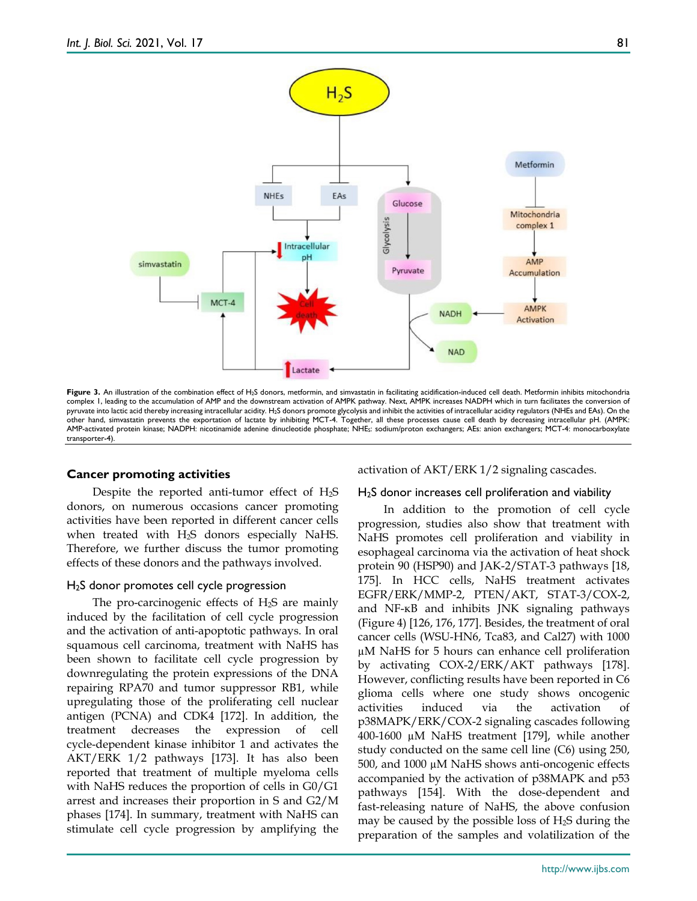

Figure 3. An illustration of the combination effect of H<sub>2</sub>S donors, metformin, and simvastatin in facilitating acidification-induced cell death. Metformin inhibits mitochondria complex 1, leading to the accumulation of AMP and the downstream activation of AMPK pathway. Next, AMPK increases NADPH which in turn facilitates the conversion of pyruvate into lactic acid thereby increasing intracellular acidity. H<sub>2</sub>S donors promote glycolysis and inhibit the activities of intracellular acidity regulators (NHEs and EAs). On the other hand, simvastatin prevents the exportation of lactate by inhibiting MCT-4. Together, all these processes cause cell death by decreasing intracellular pH. (AMPK: AMP-activated protein kinase; NADPH: nicotinamide adenine dinucleotide phosphate; NHES: sodium/proton exchangers; AEs: anion exchangers; MCT-4: monocarboxylate transporter-4).

## **Cancer promoting activities**

Despite the reported anti-tumor effect of  $H_2S$ donors, on numerous occasions cancer promoting activities have been reported in different cancer cells when treated with H<sub>2</sub>S donors especially NaHS. Therefore, we further discuss the tumor promoting effects of these donors and the pathways involved.

#### H2S donor promotes cell cycle progression

The pro-carcinogenic effects of  $H_2S$  are mainly induced by the facilitation of cell cycle progression and the activation of anti-apoptotic pathways. In oral squamous cell carcinoma, treatment with NaHS has been shown to facilitate cell cycle progression by downregulating the protein expressions of the DNA repairing RPA70 and tumor suppressor RB1, while upregulating those of the proliferating cell nuclear antigen (PCNA) and CDK4 [172]. In addition, the treatment decreases the expression of cell cycle-dependent kinase inhibitor 1 and activates the AKT/ERK 1/2 pathways [173]. It has also been reported that treatment of multiple myeloma cells with NaHS reduces the proportion of cells in G0/G1 arrest and increases their proportion in S and G2/M phases [174]. In summary, treatment with NaHS can stimulate cell cycle progression by amplifying the activation of AKT/ERK 1/2 signaling cascades.

#### H2S donor increases cell proliferation and viability

In addition to the promotion of cell cycle progression, studies also show that treatment with NaHS promotes cell proliferation and viability in esophageal carcinoma via the activation of heat shock protein 90 (HSP90) and JAK-2/STAT-3 pathways [18, 175]. In HCC cells, NaHS treatment activates EGFR/ERK/MMP-2, PTEN/AKT, STAT-3/COX-2, and NF-кB and inhibits JNK signaling pathways (Figure 4) [126, 176, 177]. Besides, the treatment of oral cancer cells (WSU-HN6, Tca83, and Cal27) with 1000 µM NaHS for 5 hours can enhance cell proliferation by activating COX-2/ERK/AKT pathways [178]. However, conflicting results have been reported in C6 glioma cells where one study shows oncogenic activities induced via the activation p38MAPK/ERK/COX-2 signaling cascades following 400-1600 µM NaHS treatment [179], while another study conducted on the same cell line (C6) using 250, 500, and 1000 µM NaHS shows anti-oncogenic effects accompanied by the activation of p38MAPK and p53 pathways [154]. With the dose-dependent and fast-releasing nature of NaHS, the above confusion may be caused by the possible loss of H2S during the preparation of the samples and volatilization of the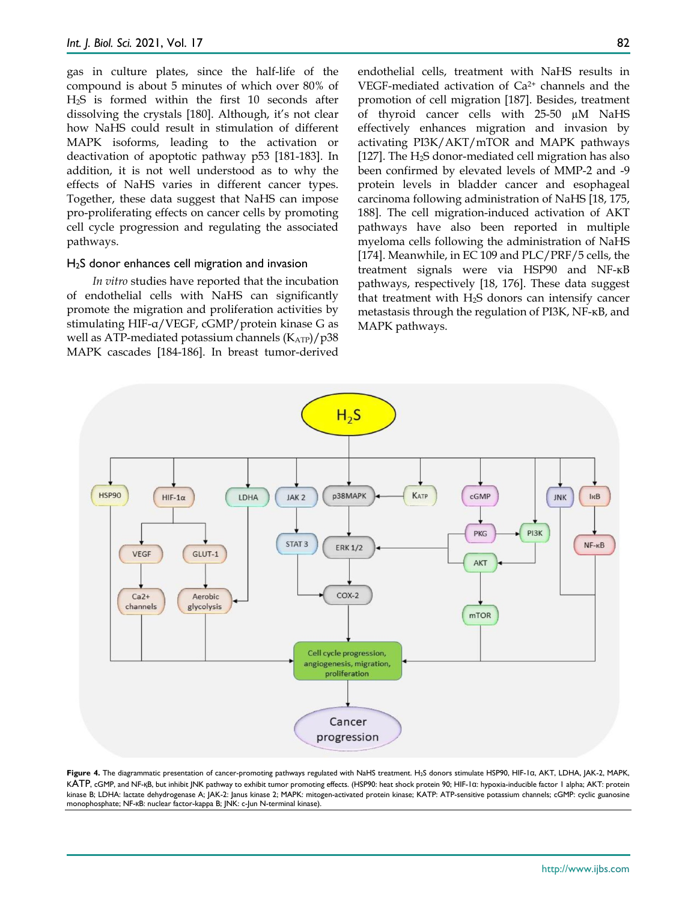gas in culture plates, since the half-life of the compound is about 5 minutes of which over 80% of H2S is formed within the first 10 seconds after dissolving the crystals [180]. Although, it's not clear how NaHS could result in stimulation of different MAPK isoforms, leading to the activation or deactivation of apoptotic pathway p53 [181-183]. In addition, it is not well understood as to why the effects of NaHS varies in different cancer types. Together, these data suggest that NaHS can impose pro-proliferating effects on cancer cells by promoting cell cycle progression and regulating the associated pathways.

#### H<sub>2</sub>S donor enhances cell migration and invasion

*In vitro* studies have reported that the incubation of endothelial cells with NaHS can significantly promote the migration and proliferation activities by stimulating HIF-α/VEGF, cGMP/protein kinase G as well as ATP-mediated potassium channels  $(K_{ATP})/p38$ MAPK cascades [184-186]. In breast tumor-derived endothelial cells, treatment with NaHS results in VEGF-mediated activation of Ca2+ channels and the promotion of cell migration [187]. Besides, treatment of thyroid cancer cells with 25-50 µM NaHS effectively enhances migration and invasion by activating PI3K/AKT/mTOR and MAPK pathways [127]. The  $H_2S$  donor-mediated cell migration has also been confirmed by elevated levels of MMP-2 and -9 protein levels in bladder cancer and esophageal carcinoma following administration of NaHS [18, 175, 188]. The cell migration-induced activation of AKT pathways have also been reported in multiple myeloma cells following the administration of NaHS [174]. Meanwhile, in EC 109 and PLC/PRF/5 cells, the treatment signals were via HSP90 and NF-кB pathways, respectively [18, 176]. These data suggest that treatment with  $H_2S$  donors can intensify cancer metastasis through the regulation of PI3K, NF-кB, and MAPK pathways.



**Figure 4.** The diagrammatic presentation of cancer-promoting pathways regulated with NaHS treatment. H2S donors stimulate HSP90, HIF-1α, AKT, LDHA, JAK-2, MAPK, KATP, cGMP, and NF-қB, but inhibit JNK pathway to exhibit tumor promoting effects. (HSP90: heat shock protein 90; HIF-1α: hypoxia-inducible factor 1 alpha; AKT: protein kinase B; LDHA: lactate dehydrogenase A; JAK-2: Janus kinase 2; MAPK: mitogen-activated protein kinase; KATP: ATP-sensitive potassium channels; cGMP: cyclic guanosine monophosphate; NF-кB: nuclear factor-kappa B; JNK: c-Jun N-terminal kinase).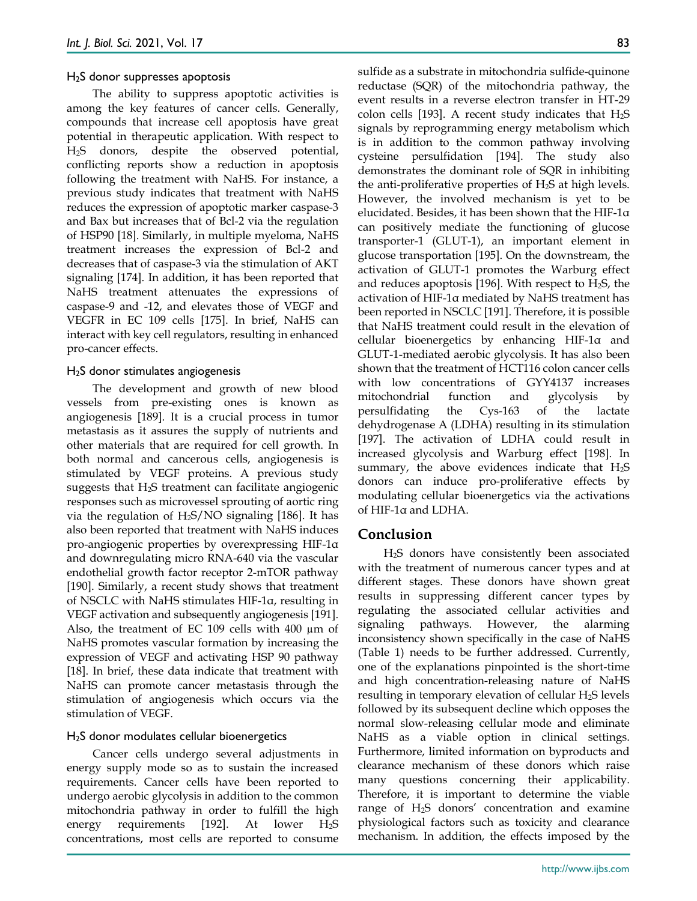#### H2S donor suppresses apoptosis

The ability to suppress apoptotic activities is among the key features of cancer cells. Generally, compounds that increase cell apoptosis have great potential in therapeutic application. With respect to H2S donors, despite the observed potential, conflicting reports show a reduction in apoptosis following the treatment with NaHS. For instance, a previous study indicates that treatment with NaHS reduces the expression of apoptotic marker caspase-3 and Bax but increases that of Bcl-2 via the regulation of HSP90 [18]. Similarly, in multiple myeloma, NaHS treatment increases the expression of Bcl-2 and decreases that of caspase-3 via the stimulation of AKT signaling [174]. In addition, it has been reported that NaHS treatment attenuates the expressions of caspase-9 and -12, and elevates those of VEGF and VEGFR in EC 109 cells [175]. In brief, NaHS can interact with key cell regulators, resulting in enhanced pro-cancer effects.

#### H2S donor stimulates angiogenesis

The development and growth of new blood vessels from pre-existing ones is known as angiogenesis [189]. It is a crucial process in tumor metastasis as it assures the supply of nutrients and other materials that are required for cell growth. In both normal and cancerous cells, angiogenesis is stimulated by VEGF proteins. A previous study suggests that H2S treatment can facilitate angiogenic responses such as microvessel sprouting of aortic ring via the regulation of  $H_2S/NO$  signaling [186]. It has also been reported that treatment with NaHS induces pro-angiogenic properties by overexpressing HIF-1α and downregulating micro RNA-640 via the vascular endothelial growth factor receptor 2-mTOR pathway [190]. Similarly, a recent study shows that treatment of NSCLC with NaHS stimulates HIF-1α, resulting in VEGF activation and subsequently angiogenesis [191]. Also, the treatment of EC 109 cells with 400  $\mu$ m of NaHS promotes vascular formation by increasing the expression of VEGF and activating HSP 90 pathway [18]. In brief, these data indicate that treatment with NaHS can promote cancer metastasis through the stimulation of angiogenesis which occurs via the stimulation of VEGF.

## H2S donor modulates cellular bioenergetics

Cancer cells undergo several adjustments in energy supply mode so as to sustain the increased requirements. Cancer cells have been reported to undergo aerobic glycolysis in addition to the common mitochondria pathway in order to fulfill the high energy requirements [192]. At lower  $H_2S$ concentrations, most cells are reported to consume

sulfide as a substrate in mitochondria sulfide-quinone reductase (SQR) of the mitochondria pathway, the event results in a reverse electron transfer in HT-29 colon cells [193]. A recent study indicates that  $H_2S$ signals by reprogramming energy metabolism which is in addition to the common pathway involving cysteine persulfidation [194]. The study also demonstrates the dominant role of SQR in inhibiting the anti-proliferative properties of  $H_2S$  at high levels. However, the involved mechanism is yet to be elucidated. Besides, it has been shown that the HIF-1α can positively mediate the functioning of glucose transporter-1 (GLUT-1), an important element in glucose transportation [195]. On the downstream, the activation of GLUT-1 promotes the Warburg effect and reduces apoptosis [196]. With respect to  $H_2S$ , the activation of HIF-1α mediated by NaHS treatment has been reported in NSCLC [191]. Therefore, it is possible that NaHS treatment could result in the elevation of cellular bioenergetics by enhancing HIF-1α and GLUT-1-mediated aerobic glycolysis. It has also been shown that the treatment of HCT116 colon cancer cells with low concentrations of GYY4137 increases mitochondrial function and glycolysis by persulfidating the Cys-163 of the lactate dehydrogenase A (LDHA) resulting in its stimulation [197]. The activation of LDHA could result in increased glycolysis and Warburg effect [198]. In summary, the above evidences indicate that  $H_2S$ donors can induce pro-proliferative effects by modulating cellular bioenergetics via the activations of HIF-1α and LDHA.

## **Conclusion**

H2S donors have consistently been associated with the treatment of numerous cancer types and at different stages. These donors have shown great results in suppressing different cancer types by regulating the associated cellular activities and signaling pathways. However, the alarming inconsistency shown specifically in the case of NaHS (Table 1) needs to be further addressed. Currently, one of the explanations pinpointed is the short-time and high concentration-releasing nature of NaHS resulting in temporary elevation of cellular H2S levels followed by its subsequent decline which opposes the normal slow-releasing cellular mode and eliminate NaHS as a viable option in clinical settings. Furthermore, limited information on byproducts and clearance mechanism of these donors which raise many questions concerning their applicability. Therefore, it is important to determine the viable range of H2S donors' concentration and examine physiological factors such as toxicity and clearance mechanism. In addition, the effects imposed by the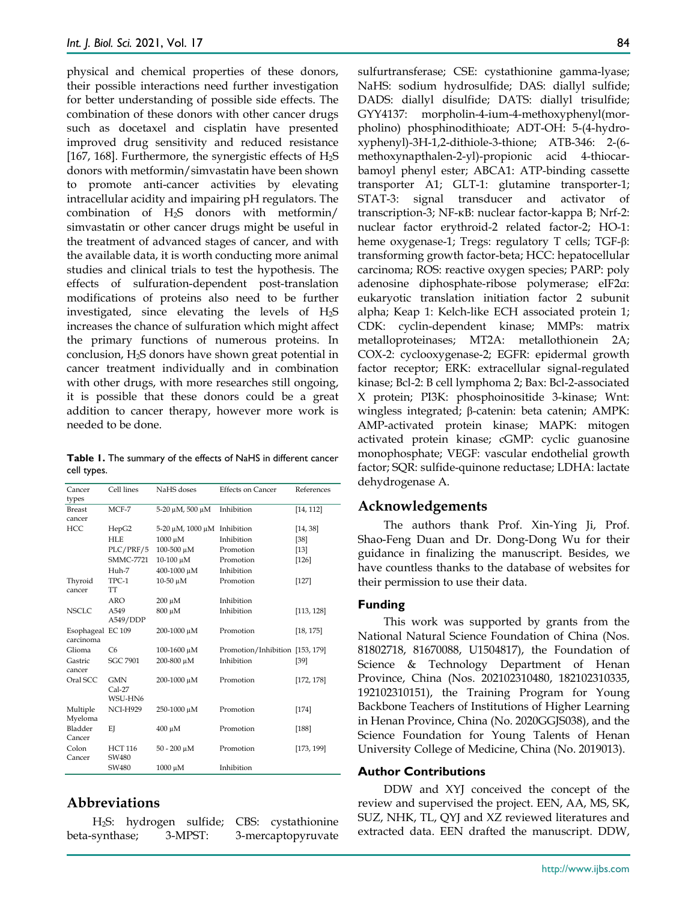physical and chemical properties of these donors, their possible interactions need further investigation for better understanding of possible side effects. The combination of these donors with other cancer drugs such as docetaxel and cisplatin have presented improved drug sensitivity and reduced resistance [167, 168]. Furthermore, the synergistic effects of  $H_2S$ donors with metformin/simvastatin have been shown to promote anti-cancer activities by elevating intracellular acidity and impairing pH regulators. The combination of H2S donors with metformin/ simvastatin or other cancer drugs might be useful in the treatment of advanced stages of cancer, and with the available data, it is worth conducting more animal studies and clinical trials to test the hypothesis. The effects of sulfuration-dependent post-translation modifications of proteins also need to be further investigated, since elevating the levels of  $H_2S$ increases the chance of sulfuration which might affect the primary functions of numerous proteins. In conclusion, H2S donors have shown great potential in cancer treatment individually and in combination with other drugs, with more researches still ongoing, it is possible that these donors could be a great addition to cancer therapy, however more work is needed to be done.

**Table 1.** The summary of the effects of NaHS in different cancer cell types.

| Cancer            | Cell lines              | NaHS doses         | <b>Effects on Cancer</b>        | References |
|-------------------|-------------------------|--------------------|---------------------------------|------------|
| types             |                         |                    |                                 |            |
| <b>Breast</b>     | MCF-7                   | 5-20 μM, 500 μM    | Inhibition                      | [14, 112]  |
| cancer            |                         |                    |                                 |            |
| HCC               | HepG2                   | 5-20 μM, 1000 μM   | Inhibition                      | [14, 38]   |
|                   | HLE                     | 1000 μM            | Inhibition                      | $[38]$     |
|                   | PLC/PRF/5               | 100-500 μM         | Promotion                       | $[13]$     |
|                   | <b>SMMC-7721</b>        | 10-100 μM          | Promotion                       | $[126]$    |
|                   | Huh-7                   | 400-1000 μM        | Inhibition                      |            |
| Thyroid           | TPC-1                   | 10-50 μM           | Promotion                       | $[127]$    |
| cancer            | TT                      |                    |                                 |            |
|                   | ARO                     | 200 μM             | Inhibition                      |            |
| <b>NSCLC</b>      | A549                    | 800 μM             | Inhibition                      | [113, 128] |
|                   | A549/DDP                |                    |                                 |            |
| Esophageal EC 109 |                         | 200-1000 μM        | Promotion                       | [18, 175]  |
| carcinoma         |                         |                    |                                 |            |
| Glioma            | C <sub>6</sub>          | 100-1600 μM        | Promotion/Inhibition [153, 179] |            |
| Gastric           | <b>SGC 7901</b>         | 200-800 μM         | Inhibition                      | $[39]$     |
| cancer            |                         |                    |                                 |            |
| Oral SCC          | <b>GMN</b>              | 200-1000 μM        | Promotion                       | [172, 178] |
|                   | $Cal-27$                |                    |                                 |            |
|                   | WSU-HN6                 |                    |                                 |            |
| Multiple          | <b>NCI-H929</b>         | 250-1000 μM        | Promotion                       | [174]      |
| Myeloma           |                         |                    |                                 |            |
| Bladder           | EI                      | $400 \mu M$        | Promotion                       | $[188]$    |
| Cancer            |                         |                    |                                 |            |
| Colon<br>Cancer   | <b>HCT 116</b><br>SW480 | $50 - 200$ $\mu$ M | Promotion                       | [173, 199] |
|                   |                         |                    | Inhibition                      |            |
|                   | SW480                   | $1000 \mu M$       |                                 |            |

# **Abbreviations**

H2S: hydrogen sulfide; CBS: cystathionine beta-synthase; 3-MPST: 3-mercaptopyruvate sulfurtransferase; CSE: cystathionine gamma-lyase; NaHS: sodium hydrosulfide; DAS: diallyl sulfide; DADS: diallyl disulfide; DATS: diallyl trisulfide; GYY4137: morpholin-4-ium-4-methoxyphenyl(morpholino) phosphinodithioate; ADT-OH: 5-(4-hydroxyphenyl)-3H-1,2-dithiole-3-thione; ATB-346: 2-(6 methoxynapthalen-2-yl)-propionic acid 4-thiocarbamoyl phenyl ester; ABCA1: ATP-binding cassette transporter A1; GLT-1: glutamine transporter-1; STAT-3: signal transducer and activator of transcription-3; NF-кB: nuclear factor-kappa B; Nrf-2: nuclear factor erythroid-2 related factor-2; HO-1: heme oxygenase-1; Tregs: regulatory T cells; TGF- $\beta$ : transforming growth factor-beta; HCC: hepatocellular carcinoma; ROS: reactive oxygen species; PARP: poly adenosine diphosphate-ribose polymerase; eIF2α: eukaryotic translation initiation factor 2 subunit alpha; Keap 1: Kelch-like ECH associated protein 1; CDK: cyclin-dependent kinase; MMPs: matrix metalloproteinases; MT2A: metallothionein 2A; COX-2: cyclooxygenase-2; EGFR: epidermal growth factor receptor; ERK: extracellular signal-regulated kinase; Bcl-2: B cell lymphoma 2; Bax: Bcl-2-associated X protein; PI3K: phosphoinositide 3-kinase; Wnt: wingless integrated; β-catenin: beta catenin; AMPK: AMP-activated protein kinase; MAPK: mitogen activated protein kinase; cGMP: cyclic guanosine monophosphate; VEGF: vascular endothelial growth factor; SQR: sulfide-quinone reductase; LDHA: lactate dehydrogenase A.

## **Acknowledgements**

The authors thank Prof. Xin-Ying Ji, Prof. Shao-Feng Duan and Dr. Dong-Dong Wu for their guidance in finalizing the manuscript. Besides, we have countless thanks to the database of websites for their permission to use their data.

#### **Funding**

This work was supported by grants from the National Natural Science Foundation of China (Nos. 81802718, 81670088, U1504817), the Foundation of Science & Technology Department of Henan Province, China (Nos. 202102310480, 182102310335, 192102310151), the Training Program for Young Backbone Teachers of Institutions of Higher Learning in Henan Province, China (No. 2020GGJS038), and the Science Foundation for Young Talents of Henan University College of Medicine, China (No. 2019013).

#### **Author Contributions**

DDW and XYJ conceived the concept of the review and supervised the project. EEN, AA, MS, SK, SUZ, NHK, TL, QYJ and XZ reviewed literatures and extracted data. EEN drafted the manuscript. DDW,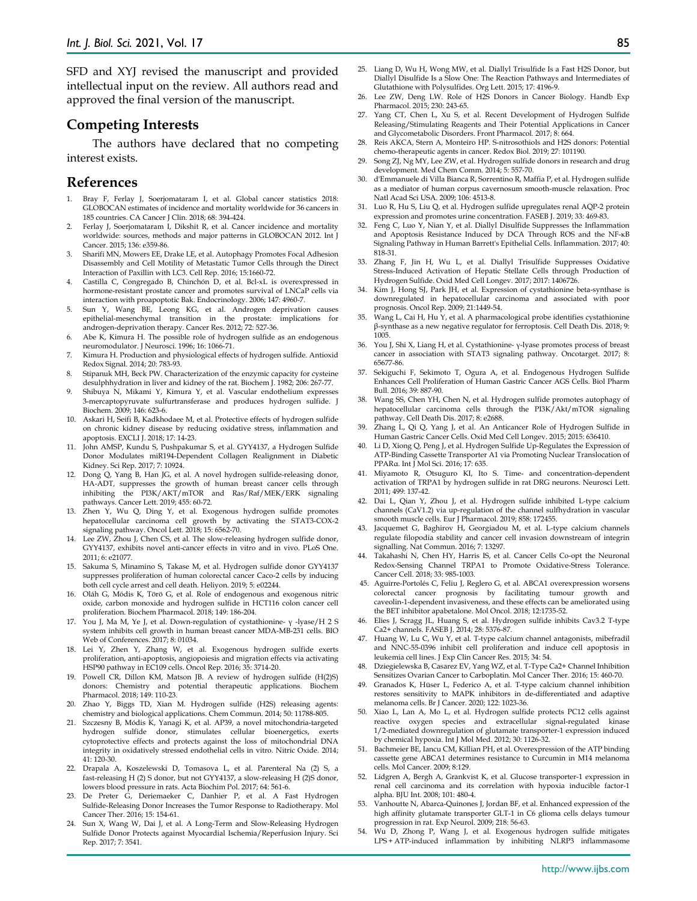SFD and XYJ revised the manuscript and provided intellectual input on the review. All authors read and approved the final version of the manuscript.

## **Competing Interests**

The authors have declared that no competing interest exists.

#### **References**

- 1. Bray F, Ferlay J, Soerjomataram I, et al. Global cancer statistics 2018: GLOBOCAN estimates of incidence and mortality worldwide for 36 cancers in 185 countries. CA Cancer J Clin. 2018; 68: 394-424.
- 2. Ferlay J, Soerjomataram I, Dikshit R, et al. Cancer incidence and mortality worldwide: sources, methods and major patterns in GLOBOCAN 2012. Int J Cancer. 2015; 136: e359-86.
- 3. Sharifi MN, Mowers EE, Drake LE, et al. Autophagy Promotes Focal Adhesion Disassembly and Cell Motility of Metastatic Tumor Cells through the Direct Interaction of Paxillin with LC3. Cell Rep. 2016; 15:1660-72.
- 4. Castilla C, Congregado B, Chinchón D, et al. Bcl-xL is overexpressed in hormone-resistant prostate cancer and promotes survival of LNCaP cells via interaction with proapoptotic Bak. Endocrinology. 2006; 147: 4960-7.
- 5. Sun Y, Wang BE, Leong KG, et al. Androgen deprivation causes epithelial-mesenchymal transition in the prostate: implications for androgen-deprivation therapy. Cancer Res. 2012; 72: 527-36.
- 6. Abe K, Kimura H. The possible role of hydrogen sulfide as an endogenous neuromodulator. J Neurosci. 1996; 16: 1066-71.
- 7. Kimura H. Production and physiological effects of hydrogen sulfide. Antioxid Redox Signal. 2014; 20: 783-93.
- 8. Stipanuk MH, Beck PW. Characterization of the enzymic capacity for cysteine desulphhydration in liver and kidney of the rat. Biochem J. 1982; 206: 267-77.
- 9. Shibuya N, Mikami Y, Kimura Y, et al. Vascular endothelium expresses 3-mercaptopyruvate sulfurtransferase and produces hydrogen sulfide. J Biochem. 2009; 146: 623-6.
- 10. Askari H, Seifi B, Kadkhodaee M, et al. Protective effects of hydrogen sulfide on chronic kidney disease by reducing oxidative stress, inflammation and apoptosis. EXCLI J. 2018; 17: 14-23.
- 11. John AMSP, Kundu S, Pushpakumar S, et al. GYY4137, a Hydrogen Sulfide Donor Modulates miR194-Dependent Collagen Realignment in Diabetic Kidney. Sci Rep. 2017; 7: 10924.
- 12. Dong Q, Yang B, Han JG, et al. A novel hydrogen sulfide-releasing donor, HA-ADT, suppresses the growth of human breast cancer cells through inhibiting the PI3K/AKT/mTOR and Ras/Raf/MEK/ERK signaling pathways. Cancer Lett. 2019; 455: 60-72.
- 13. Zhen Y, Wu Q, Ding Y, et al. Exogenous hydrogen sulfide promotes hepatocellular carcinoma cell growth by activating the STAT3-COX-2 signaling pathway. Oncol Lett. 2018; 15: 6562-70.
- 14. Lee ZW, Zhou J, Chen CS, et al. The slow-releasing hydrogen sulfide donor, GYY4137, exhibits novel anti-cancer effects in vitro and in vivo. PLoS One. 2011; 6: e21077.
- 15. Sakuma S, Minamino S, Takase M, et al. Hydrogen sulfide donor GYY4137 suppresses proliferation of human colorectal cancer Caco-2 cells by inducing both cell cycle arrest and cell death. Heliyon. 2019; 5: e02244.
- 16. Oláh G, Módis K, Törö G, et al. Role of endogenous and exogenous nitric oxide, carbon monoxide and hydrogen sulfide in HCT116 colon cancer cell proliferation. Biochem Pharmacol. 2018; 149: 186-204.
- 17. You J, Ma M, Ye J, et al. Down-regulation of cystathionine- γ -lyase/H 2 S system inhibits cell growth in human breast cancer MDA-MB-231 cells. BIO Web of Conferences. 2017; 8: 01034.
- 18. Lei Y, Zhen Y, Zhang W, et al. Exogenous hydrogen sulfide exerts proliferation, anti-apoptosis, angiopoiesis and migration effects via activating HSP90 pathway in EC109 cells. Oncol Rep. 2016; 35: 3714-20.
- 19. Powell CR, Dillon KM, Matson JB. A review of hydrogen sulfide (H(2)S) donors: Chemistry and potential therapeutic applications. Biochem Pharmacol. 2018; 149: 110-23.
- 20. Zhao Y, Biggs TD, Xian M. Hydrogen sulfide (H2S) releasing agents: chemistry and biological applications. Chem Commun. 2014; 50: 11788-805.
- 21. Szczesny B, Módis K, Yanagi K, et al. AP39, a novel mitochondria-targeted hydrogen sulfide donor, stimulates cellular bioenergetics, cytoprotective effects and protects against the loss of mitochondrial DNA integrity in oxidatively stressed endothelial cells in vitro. Nitric Oxide. 2014; 41: 120-30.
- 22. Drapala A, Koszelewski D, Tomasova L, et al. Parenteral Na (2) S, a fast-releasing H (2) S donor, but not GYY4137, a slow-releasing H (2)S donor, lowers blood pressure in rats. Acta Biochim Pol. 2017; 64: 561-6.
- 23. De Preter G, Deriemaeker C, Danhier P, et al. A Fast Hydrogen Sulfide-Releasing Donor Increases the Tumor Response to Radiotherapy. Mol Cancer Ther. 2016; 15: 154-61.
- 24. Sun X, Wang W, Dai J, et al. A Long-Term and Slow-Releasing Hydrogen Sulfide Donor Protects against Myocardial Ischemia/Reperfusion Injury. Sci Rep. 2017; 7: 3541.
- 25. Liang D, Wu H, Wong MW, et al. Diallyl Trisulfide Is a Fast H2S Donor, but Diallyl Disulfide Is a Slow One: The Reaction Pathways and Intermediates of Glutathione with Polysulfides. Org Lett. 2015; 17: 4196-9.
- 26. Lee ZW, Deng LW. Role of H2S Donors in Cancer Biology. Handb Exp Pharmacol. 2015; 230: 243-65.
- 27. Yang CT, Chen L, Xu S, et al. Recent Development of Hydrogen Sulfide Releasing/Stimulating Reagents and Their Potential Applications in Cancer and Glycometabolic Disorders. Front Pharmacol. 2017; 8: 664.
- 28. Reis AKCA, Stern A, Monteiro HP. S-nitrosothiols and H2S donors: Potential chemo-therapeutic agents in cancer. Redox Biol. 2019; 27: 101190.
- 29. Song ZJ, Ng MY, Lee ZW, et al. Hydrogen sulfide donors in research and drug development. Med Chem Comm. 2014; 5: 557-70.
- 30. d'Emmanuele di Villa Bianca R, Sorrentino R, Maffia P, et al. Hydrogen sulfide as a mediator of human corpus cavernosum smooth-muscle relaxation. Proc Natl Acad Sci USA. 2009; 106: 4513-8.
- 31. Luo R, Hu S, Liu Q, et al. Hydrogen sulfide upregulates renal AQP-2 protein expression and promotes urine concentration. FASEB J. 2019; 33: 469-83.
- 32. Feng C, Luo Y, Nian Y, et al. Diallyl Disulfide Suppresses the Inflammation and Apoptosis Resistance Induced by DCA Through ROS and the NF-κB Signaling Pathway in Human Barrett's Epithelial Cells. Inflammation. 2017; 40: 818-31.
- 33. Zhang F, Jin H, Wu L, et al. Diallyl Trisulfide Suppresses Oxidative Stress-Induced Activation of Hepatic Stellate Cells through Production of Hydrogen Sulfide. Oxid Med Cell Longev. 2017; 2017: 1406726.
- 34. Kim J, Hong SJ, Park JH, et al. Expression of cystathionine beta-synthase is downregulated in hepatocellular carcinoma and associated with poor prognosis. Oncol Rep. 2009; 21:1449-54.
- 35. Wang L, Cai H, Hu Y, et al. A pharmacological probe identifies cystathionine β-synthase as a new negative regulator for ferroptosis. Cell Death Dis. 2018; 9: 1005.
- 36. You J, Shi X, Liang H, et al. Cystathionine- γ-lyase promotes process of breast cancer in association with STAT3 signaling pathway. Oncotarget. 2017; 8: 65677-86.
- 37. Sekiguchi F, Sekimoto T, Ogura A, et al. Endogenous Hydrogen Sulfide Enhances Cell Proliferation of Human Gastric Cancer AGS Cells. Biol Pharm Bull. 2016; 39: 887-90.
- 38. Wang SS, Chen YH, Chen N, et al. Hydrogen sulfide promotes autophagy of hepatocellular carcinoma cells through the PI3K/Akt/mTOR signaling pathway. Cell Death Dis. 2017; 8: e2688.
- 39. Zhang L, Qi Q, Yang J, et al. An Anticancer Role of Hydrogen Sulfide in Human Gastric Cancer Cells. Oxid Med Cell Longev. 2015; 2015: 636410.
- 40. Li D, Xiong Q, Peng J, et al. Hydrogen Sulfide Up-Regulates the Expression of ATP-Binding Cassette Transporter A1 via Promoting Nuclear Translocation of PPARα. Int J Mol Sci. 2016; 17: 635.
- 41. Miyamoto R, Otsuguro KI, Ito S. Time- and concentration-dependent activation of TRPA1 by hydrogen sulfide in rat DRG neurons. Neurosci Lett. 2011; 499: 137-42.
- 42. Dai L, Qian Y, Zhou J, et al. Hydrogen sulfide inhibited L-type calcium channels (CaV1.2) via up-regulation of the channel sulfhydration in vascular smooth muscle cells. Eur J Pharmacol. 2019; 858: 172455.
- 43. Jacquemet G, Baghirov H, Georgiadou M, et al. L-type calcium channels regulate filopodia stability and cancer cell invasion downstream of integrin signalling. Nat Commun. 2016; 7: 13297.
- 44. Takahashi N, Chen HY, Harris IS, et al. Cancer Cells Co-opt the Neuronal Redox-Sensing Channel TRPA1 to Promote Oxidative-Stress Tolerance. Cancer Cell. 2018; 33: 985-1003.
- 45. Aguirre-Portolés C, Feliu J, Reglero G, et al. ABCA1 overexpression worsens colorectal cancer prognosis by facilitating tumour growth and caveolin-1-dependent invasiveness, and these effects can be ameliorated using the BET inhibitor apabetalone. Mol Oncol. 2018; 12:1735-52.
- 46. Elies J, Scragg JL, Huang S, et al. Hydrogen sulfide inhibits Cav3.2 T-type Ca2+ channels. FASEB J. 2014; 28: 5376-87.
- 47. Huang W, Lu C, Wu Y, et al. T-type calcium channel antagonists, mibefradil and NNC-55-0396 inhibit cell proliferation and induce cell apoptosis in leukemia cell lines. J Exp Clin Cancer Res. 2015; 34: 54.
- 48. Dziegielewska B, Casarez EV, Yang WZ, et al. T-Type Ca2+ Channel Inhibition Sensitizes Ovarian Cancer to Carboplatin. Mol Cancer Ther. 2016; 15: 460-70.
- Granados K, Hüser L, Federico A, et al. T-type calcium channel inhibition restores sensitivity to MAPK inhibitors in de-differentiated and adaptive melanoma cells. Br J Cancer. 2020; 122: 1023-36.
- 50. Xiao L, Lan A, Mo L, et al. Hydrogen sulfide protects PC12 cells against reactive oxygen species and extracellular signal-regulated kinase 1/2-mediated downregulation of glutamate transporter-1 expression induced by chemical hypoxia. Int J Mol Med. 2012; 30: 1126-32.
- 51. Bachmeier BE, Iancu CM, Killian PH, et al. Overexpression of the ATP binding cassette gene ABCA1 determines resistance to Curcumin in M14 melanoma cells. Mol Cancer*.* 2009; 8:129.
- 52. Lidgren A, Bergh A, Grankvist K, et al. Glucose transporter-1 expression in renal cell carcinoma and its correlation with hypoxia inducible factor-1 alpha. BJU Int. 2008; 101: 480-4.
- 53. Vanhoutte N, Abarca-Quinones J, Jordan BF, et al. Enhanced expression of the high affinity glutamate transporter GLT-1 in C6 glioma cells delays tumour progression in rat. Exp Neurol. 2009; 218: 56-63.
- 54. Wu D, Zhong P, Wang J, et al. Exogenous hydrogen sulfide mitigates LPS + ATP-induced inflammation by inhibiting NLRP3 inflammasome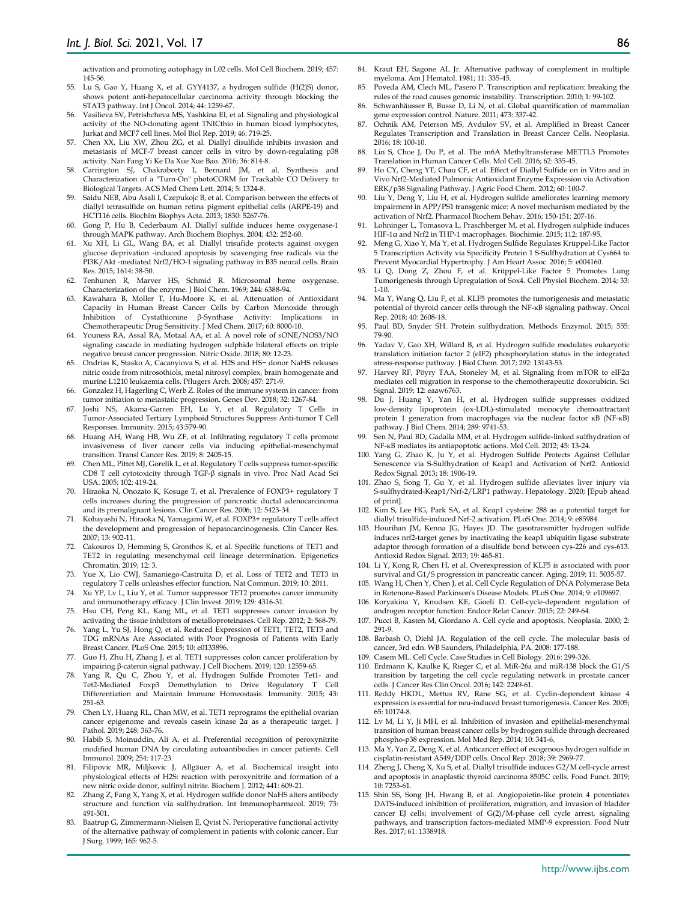activation and promoting autophagy in L02 cells. Mol Cell Biochem. 2019; 457: 145-56.

- 55. Lu S, Gao Y, Huang X, et al. GYY4137, a hydrogen sulfide (H(2)S) donor, shows potent anti-hepatocellular carcinoma activity through blocking the STAT3 pathway. Int J Oncol. 2014; 44: 1259-67.
- 56. Vasilieva SV, Petrishcheva MS, Yashkina EI, et al. Signaling and physiological activity of the NO-donating agent TNICthio in human blood lymphocytes, Jurkat and MCF7 cell lines. Mol Biol Rep. 2019; 46: 719-25.
- 57. Chen XX, Liu XW, Zhou ZG, et al. Diallyl disulfide inhibits invasion and metastasis of MCF-7 breast cancer cells in vitro by down-regulating p38 activity. Nan Fang Yi Ke Da Xue Xue Bao. 2016; 36: 814-8.
- 58. Carrington SJ, Chakraborty I, Bernard JM, et al. Synthesis and Characterization of a "Turn-On" photoCORM for Trackable CO Delivery to Biological Targets. ACS Med Chem Lett. 2014; 5: 1324-8.
- Saidu NEB, Abu Asali I, Czepukojc B, et al. Comparison between the effects of diallyl tetrasulfide on human retina pigment epithelial cells (ARPE-19) and HCT116 cells. Biochim Biophys Acta. 2013; 1830: 5267-76.
- 60. Gong P, Hu B, Cederbaum AI. Diallyl sulfide induces heme oxygenase-1 through MAPK pathway. Arch Biochem Biophys. 2004; 432: 252-60.
- 61. Xu XH, Li GL, Wang BA, et al. Diallyl trisufide protects against oxygen glucose deprivation -induced apoptosis by scavenging free radicals via the PI3K/Akt -mediated Nrf2/HO-1 signaling pathway in B35 neural cells. Brain Res. 2015; 1614: 38-50.
- 62. Tenhunen R, Marver HS, Schmid R. Microsomal heme oxygenase. Characterization of the enzyme. J Biol Chem. 1969; 244: 6388-94.
- 63. Kawahara B, Moller T, Hu-Moore K, et al. Attenuation of Antioxidant Capacity in Human Breast Cancer Cells by Carbon Monoxide through Inhibition of Cystathionine β-Synthase Activity: Implications in Chemotherapeutic Drug Sensitivity. J Med Chem. 2017; 60: 8000-10.
- Youness RA, Assal RA, Motaal AA, et al. A novel role of sONE/NOS3/NO signaling cascade in mediating hydrogen sulphide bilateral effects on triple negative breast cancer progression. Nitric Oxide. 2018; 80: 12-23.
- 65. Ondrias K, Stasko A, Cacanyiova S, et al. H2S and HS− donor NaHS releases nitric oxide from nitrosothiols, metal nitrosyl complex, brain homogenate and murine L1210 leukaemia cells. Pflugers Arch. 2008; 457: 271-9.
- 66. Gonzalez H, Hagerling C, Werb Z. Roles of the immune system in cancer: from tumor initiation to metastatic progression. Genes Dev. 2018; 32: 1267-84.
- 67. Joshi NS, Akama-Garren EH, Lu Y, et al. Regulatory T Cells in Tumor-Associated Tertiary Lymphoid Structures Suppress Anti-tumor T Cell Responses. Immunity. 2015; 43:579-90.
- 68. Huang AH, Wang HB, Wu ZF, et al. Infiltrating regulatory T cells promote invasiveness of liver cancer cells via inducing epithelial-mesenchymal transition. Transl Cancer Res. 2019; 8: 2405-15.
- Chen ML, Pittet MJ, Gorelik L, et al. Regulatory T cells suppress tumor-specific CD8 T cell cytotoxicity through TGF-β signals in vivo. Proc Natl Acad Sci USA. 2005; 102: 419-24.
- 70. Hiraoka N, Onozato K, Kosuge T, et al. Prevalence of FOXP3+ regulatory T cells increases during the progression of pancreatic ductal adenocarcinoma and its premalignant lesions. Clin Cancer Res. 2006; 12: 5423-34.
- 71. Kobayashi N, Hiraoka N, Yamagami W, et al. FOXP3+ regulatory T cells affect the development and progression of hepatocarcinogenesis. Clin Cancer Res. 2007; 13: 902-11.
- 72. Cakouros D, Hemming S, Gronthos K, et al. Specific functions of TET1 and TET2 in regulating mesenchymal cell lineage determination. Epigenetics Chromatin. 2019; 12: 3.
- 73. Yue X, Lio CWJ, Samaniego-Castruita D, et al. Loss of TET2 and TET3 in regulatory T cells unleashes effector function. Nat Commun. 2019; 10: 2011.
- 74. Xu YP, Lv L, Liu Y, et al. Tumor suppressor TET2 promotes cancer immunity and immunotherapy efficacy. J Clin Invest. 2019; 129: 4316-31.
- 75. Hsu CH, Peng KL, Kang ML, et al. TET1 suppresses cancer invasion by activating the tissue inhibitors of metalloproteinases. Cell Rep. 2012; 2: 568-79.
- 76. Yang L, Yu SJ, Hong Q, et al. Reduced Expression of TET1, TET2, TET3 and TDG mRNAs Are Associated with Poor Prognosis of Patients with Early Breast Cancer. PLoS One. 2015; 10: e0133896.
- Guo H, Zhu H, Zhang J, et al. TET1 suppresses colon cancer proliferation by impairing β-catenin signal pathway. J Cell Biochem. 2019; 120: 12559-65.
- Yang R, Qu C, Zhou Y, et al. Hydrogen Sulfide Promotes Tet1- and Tet2-Mediated Foxp3 Demethylation to Drive Regulatory T Cell Differentiation and Maintain Immune Homeostasis. Immunity. 2015; 43: 251-63.
- 79. Chen LY, Huang RL, Chan MW, et al. TET1 reprograms the epithelial ovarian cancer epigenome and reveals casein kinase 2α as a therapeutic target. J Pathol. 2019; 248: 363-76.
- 80. Habib S, Moinuddin, Ali A, et al. Preferential recognition of peroxynitrite modified human DNA by circulating autoantibodies in cancer patients. Cell Immunol. 2009; 254: 117-23.
- 81. Filipovic MR, Miljkovic J, Allgäuer A, et al. Biochemical insight into physiological effects of H2S: reaction with peroxynitrite and formation of a new nitric oxide donor, sulfinyl nitrite. Biochem J. 2012; 441: 609-21.
- 82. Zhang Z, Fang X, Yang X, et al. Hydrogen sulfide donor NaHS alters antibody structure and function via sulfhydration. Int Immunopharmacol. 2019; 73: 491-501.
- Baatrup G, Zimmermann-Nielsen E, Qvist N. Perioperative functional activity of the alternative pathway of complement in patients with colonic cancer. Eur J Surg. 1999; 165: 962-5.
- 84. Kraut EH, Sagone AL Jr. Alternative pathway of complement in multiple myeloma. Am J Hematol. 1981; 11: 335-45.
- 85. Poveda AM, Clech ML, Pasero P. Transcription and replication: breaking the rules of the road causes genomic instability. Transcription. 2010; 1: 99-102.
- 86. Schwanhäusser B, Busse D, Li N, et al. Global quantification of mammalian gene expression control. Nature. 2011; 473: 337-42.
- 87. Ochnik AM, Peterson MS, Avdulov SV, et al. Amplified in Breast Cancer Regulates Transcription and Translation in Breast Cancer Cells. Neoplasia. 2016; 18: 100-10.
- 88. Lin S, Choe J, Du P, et al. The m6A Methyltransferase METTL3 Promotes Translation in Human Cancer Cells. Mol Cell. 2016; 62: 335-45.
- 89. Ho CY, Cheng YT, Chau CF, et al. Effect of Diallyl Sulfide on in Vitro and in Vivo Nrf2-Mediated Pulmonic Antioxidant Enzyme Expression via Activation ERK/p38 Signaling Pathway. J Agric Food Chem. 2012; 60: 100-7.
- Liu Y, Deng Y, Liu H, et al. Hydrogen sulfide ameliorates learning memory impairment in APP/PS1 transgenic mice: A novel mechanism mediated by the activation of Nrf2. Pharmacol Biochem Behav. 2016; 150-151: 207-16.
- Lohninger L, Tomasova L, Praschberger M, et al. Hydrogen sulphide induces HIF-1α and Nrf2 in THP-1 macrophages. Biochimie. 2015; 112: 187-95.
- 92. Meng G, Xiao Y, Ma Y, et al. Hydrogen Sulfide Regulates Krüppel-Like Factor 5 Transcription Activity via Specificity Protein 1 S-Sulfhydration at Cys664 to Prevent Myocardial Hypertrophy. J Am Heart Assoc. 2016; 5: e004160.
- 93. Li Q, Dong Z, Zhou F, et al. Krüppel-Like Factor 5 Promotes Lung Tumorigenesis through Upregulation of Sox4. Cell Physiol Biochem. 2014; 33: 1-10.
- 94. Ma Y, Wang Q, Liu F, et al. KLF5 promotes the tumorigenesis and metastatic potential of thyroid cancer cells through the NF-κB signaling pathway. Oncol Rep. 2018; 40: 2608-18.
- 95. Paul BD, Snyder SH. Protein sulfhydration. Methods Enzymol. 2015; 555: 79-90.
- 96. Yadav V, Gao XH, Willard B, et al. Hydrogen sulfide modulates eukaryotic translation initiation factor 2 (eIF2) phosphorylation status in the integrated stress-response pathway. J Biol Chem. 2017; 292: 13143-53.
- 97. Harvey RF, Pöyry TAA, Stoneley M, et al. Signaling from mTOR to eIF2α mediates cell migration in response to the chemotherapeutic doxorubicin. Sci Signal. 2019; 12: eaaw6763.
- 98. Du J, Huang Y, Yan H, et al. Hydrogen sulfide suppresses oxidized low-density lipoprotein (ox-LDL)-stimulated monocyte chemoattractant protein 1 generation from macrophages via the nuclear factor κB (NF-κB) pathway. J Biol Chem. 2014; 289: 9741-53.
- 99. Sen N, Paul BD, Gadalla MM, et al. Hydrogen sulfide-linked sulfhydration of NF-κB mediates its antiapoptotic actions. Mol Cell. 2012; 45: 13-24.
- 100. Yang G, Zhao K, Ju Y, et al. Hydrogen Sulfide Protects Against Cellular Senescence via S-Sulfhydration of Keap1 and Activation of Nrf2. Antioxid Redox Signal. 2013; 18: 1906-19.
- 101. Zhao S, Song T, Gu Y, et al. Hydrogen sulfide alleviates liver injury via S-sulfhydrated-Keap1/Nrf-2/LRP1 pathway. Hepatology. 2020; [Epub ahead of print].
- 102. Kim S, Lee HG, Park SA, et al. Keap1 cysteine 288 as a potential target for diallyl trisulfide-induced Nrf-2 activation. PLoS One. 2014; 9: e85984.
- 103. Hourihan JM, Kenna JG, Hayes JD. The gasotransmitter hydrogen sulfide induces nrf2-target genes by inactivating the keap1 ubiquitin ligase substrate adaptor through formation of a disulfide bond between cys-226 and cys-613. Antioxid Redox Signal. 2013; 19: 465-81.
- 104. Li Y, Kong R, Chen H, et al. Overexpression of KLF5 is associated with poor survival and G1/S progression in pancreatic cancer. Aging. 2019; 11: 5035-57.
- 105. Wang H, Chen Y, Chen J, et al. Cell Cycle Regulation of DNA Polymerase Beta in Rotenone-Based Parkinson's Disease Models. PLoS One. 2014; 9: e109697.
- 106. Koryakina Y, Knudsen KE, Gioeli D. Cell-cycle-dependent regulation of androgen receptor function. Endocr Relat Cancer. 2015; 22: 249-64.
- 107. Pucci B, Kasten M, Giordano A. Cell cycle and apoptosis. Neoplasia. 2000; 2: 291-9.
- 108. Barbash O, Diehl JA. Regulation of the cell cycle. The molecular basis of cancer, 3rd edn. WB Saunders, Philadelphia, PA. 2008: 177-188.
- 109. Casem ML. Cell Cycle. Case Studies in Cell Biology. 2016: 299-326.
- 110. Erdmann K, Kaulke K, Rieger C, et al. MiR-26a and miR-138 block the G1/S transition by targeting the cell cycle regulating network in prostate cancer cells. J Cancer Res Clin Oncol. 2016; 142: 2249-61.
- 111. Reddy HKDL, Mettus RV, Rane SG, et al. Cyclin-dependent kinase 4 expression is essential for neu-induced breast tumorigenesis. Cancer Res. 2005; 65: 10174-8.
- 112. Lv M, Li Y, Ji MH, et al. Inhibition of invasion and epithelial-mesenchymal transition of human breast cancer cells by hydrogen sulfide through decreased phospho-p38 expression. Mol Med Rep. 2014; 10: 341-6.
- 113. Ma Y, Yan Z, Deng X, et al. Anticancer effect of exogenous hydrogen sulfide in cisplatin-resistant A549/DDP cells. Oncol Rep. 2018; 39: 2969-77.
- 114. Zheng J, Cheng X, Xu S, et al. Diallyl trisulfide induces G2/M cell-cycle arrest and apoptosis in anaplastic thyroid carcinoma 8505C cells. Food Funct. 2019; 10: 7253-61.
- 115. Shin SS, Song JH, Hwang B, et al. Angiopoietin-like protein 4 potentiates DATS-induced inhibition of proliferation, migration, and invasion of bladder cancer EJ cells; involvement of G(2)/M-phase cell cycle arrest, signaling pathways, and transcription factors-mediated MMP-9 expression. Food Nutr Res. 2017; 61: 1338918.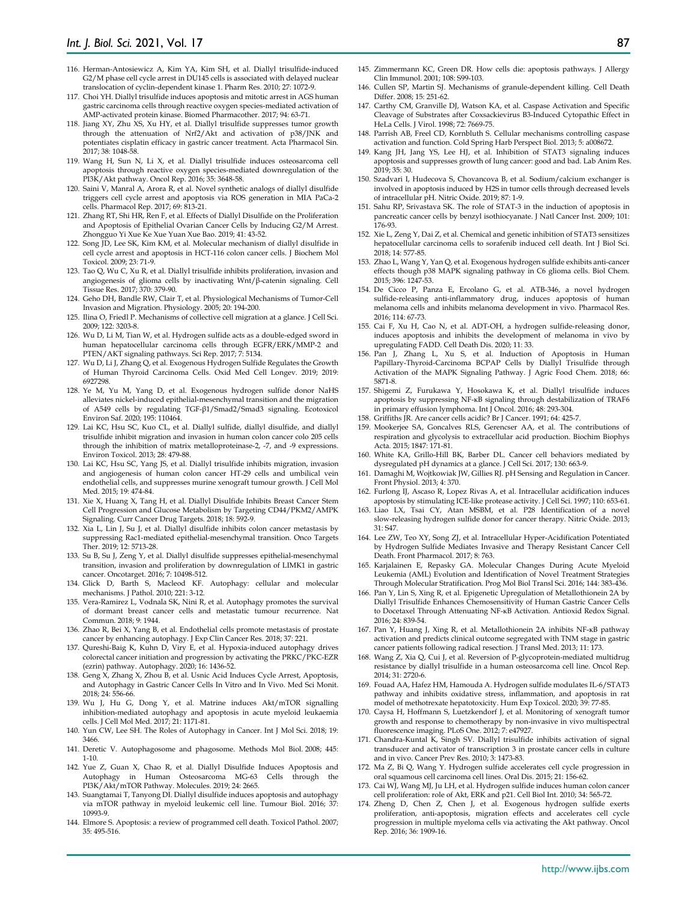- 116. Herman-Antosiewicz A, Kim YA, Kim SH, et al. Diallyl trisulfide-induced G2/M phase cell cycle arrest in DU145 cells is associated with delayed nuclear translocation of cyclin-dependent kinase 1. Pharm Res. 2010; 27: 1072-9.
- 117. Choi YH. Diallyl trisulfide induces apoptosis and mitotic arrest in AGS human gastric carcinoma cells through reactive oxygen species-mediated activation of AMP-activated protein kinase. Biomed Pharmacother. 2017; 94: 63-71.
- 118. Jiang XY, Zhu XS, Xu HY, et al. Diallyl trisulfide suppresses tumor growth through the attenuation of Nrf2/Akt and activation of p38/JNK and potentiates cisplatin efficacy in gastric cancer treatment. Acta Pharmacol Sin. 2017; 38: 1048-58.
- 119. Wang H, Sun N, Li X, et al. Diallyl trisulfide induces osteosarcoma cell apoptosis through reactive oxygen species-mediated downregulation of the PI3K/Akt pathway. Oncol Rep. 2016; 35: 3648-58.
- 120. Saini V, Manral A, Arora R, et al. Novel synthetic analogs of diallyl disulfide triggers cell cycle arrest and apoptosis via ROS generation in MIA PaCa-2 cells. Pharmacol Rep. 2017; 69: 813-21.
- 121. Zhang RT, Shi HR, Ren F, et al. Effects of Diallyl Disulfide on the Proliferation and Apoptosis of Epithelial Ovarian Cancer Cells by Inducing G2/M Arrest. Zhongguo Yi Xue Ke Xue Yuan Xue Bao. 2019; 41: 43-52.
- 122. Song JD, Lee SK, Kim KM, et al. Molecular mechanism of diallyl disulfide in cell cycle arrest and apoptosis in HCT-116 colon cancer cells. J Biochem Mol Toxicol. 2009; 23: 71-9.
- 123. Tao Q, Wu C, Xu R, et al. Diallyl trisulfide inhibits proliferation, invasion and angiogenesis of glioma cells by inactivating Wnt/β-catenin signaling. Cell Tissue Res. 2017; 370: 379-90.
- 124. Geho DH, Bandle RW, Clair T, et al. Physiological Mechanisms of Tumor-Cell Invasion and Migration. Physiology. 2005; 20: 194-200.
- 125. Ilina O, Friedl P. Mechanisms of collective cell migration at a glance. J Cell Sci. 2009; 122: 3203-8.
- 126. Wu D, Li M, Tian W, et al. Hydrogen sulfide acts as a double-edged sword in human hepatocellular carcinoma cells through EGFR/ERK/MMP-2 and PTEN/AKT signaling pathways. Sci Rep. 2017; 7: 5134.
- 127. Wu D, Li J, Zhang Q, et al. Exogenous Hydrogen Sulfide Regulates the Growth of Human Thyroid Carcinoma Cells. Oxid Med Cell Longev. 2019; 2019: 6927298.
- 128. Ye M, Yu M, Yang D, et al. Exogenous hydrogen sulfide donor NaHS alleviates nickel-induced epithelial-mesenchymal transition and the migration of A549 cells by regulating TGF-β1/Smad2/Smad3 signaling. Ecotoxicol Environ Saf. 2020; 195: 110464.
- 129. Lai KC, Hsu SC, Kuo CL, et al. Diallyl sulfide, diallyl disulfide, and diallyl trisulfide inhibit migration and invasion in human colon cancer colo 205 cells through the inhibition of matrix metalloproteinase-2, -7, and -9 expressions. Environ Toxicol. 2013; 28: 479-88.
- 130. Lai KC, Hsu SC, Yang JS, et al. Diallyl trisulfide inhibits migration, invasion and angiogenesis of human colon cancer HT-29 cells and umbilical vein endothelial cells, and suppresses murine xenograft tumour growth. J Cell Mol Med. 2015; 19: 474-84.
- 131. Xie X, Huang X, Tang H, et al. Diallyl Disulfide Inhibits Breast Cancer Stem Cell Progression and Glucose Metabolism by Targeting CD44/PKM2/AMPK Signaling. Curr Cancer Drug Targets. 2018; 18: 592-9.
- 132. Xia L, Lin J, Su J, et al. Diallyl disulfide inhibits colon cancer metastasis by suppressing Rac1-mediated epithelial-mesenchymal transition. Onco Targets Ther. 2019; 12: 5713-28.
- 133. Su B, Su J, Zeng Y, et al. Diallyl disulfide suppresses epithelial-mesenchymal transition, invasion and proliferation by downregulation of LIMK1 in gastric cancer. Oncotarget. 2016; 7: 10498-512.
- 134. Glick D, Barth S, Macleod KF. Autophagy: cellular and molecular mechanisms. J Pathol. 2010; 221: 3-12.
- 135. Vera-Ramirez L, Vodnala SK, Nini R, et al. Autophagy promotes the survival of dormant breast cancer cells and metastatic tumour recurrence. Nat Commun. 2018; 9: 1944.
- 136. Zhao R, Bei X, Yang B, et al. Endothelial cells promote metastasis of prostate cancer by enhancing autophagy. J Exp Clin Cancer Res. 2018; 37: 221.
- 137. Qureshi-Baig K, Kuhn D, Viry E, et al. Hypoxia-induced autophagy drives colorectal cancer initiation and progression by activating the PRKC/PKC-EZR (ezrin) pathway. Autophagy. 2020; 16: 1436-52.
- 138. Geng X, Zhang X, Zhou B, et al. Usnic Acid Induces Cycle Arrest, Apoptosis, and Autophagy in Gastric Cancer Cells In Vitro and In Vivo. Med Sci Monit. 2018; 24: 556-66.
- 139. Wu J, Hu G, Dong Y, et al. Matrine induces Akt/mTOR signalling inhibition-mediated autophagy and apoptosis in acute myeloid leukaemia cells. J Cell Mol Med. 2017; 21: 1171-81.
- 140. Yun CW, Lee SH. The Roles of Autophagy in Cancer. Int J Mol Sci. 2018; 19: 3466.
- 141. Deretic V. Autophagosome and phagosome. Methods Mol Biol. 2008; 445: 1-10.
- 142. Yue Z, Guan X, Chao R, et al. Diallyl Disulfide Induces Apoptosis and Autophagy in Human Osteosarcoma MG-63 Cells through the PI3K/Akt/mTOR Pathway. Molecules. 2019; 24: 2665.
- 143. Suangtamai T, Tanyong DI. Diallyl disulfide induces apoptosis and autophagy via mTOR pathway in myeloid leukemic cell line. Tumour Biol. 2016; 37: 10993-9.
- 144. Elmore S. Apoptosis: a review of programmed cell death. Toxicol Pathol. 2007; 35: 495-516.
- 145. Zimmermann KC, Green DR. How cells die: apoptosis pathways. J Allergy Clin Immunol. 2001; 108: S99-103.
- 146. Cullen SP, Martin SJ. Mechanisms of granule-dependent killing. Cell Death Differ. 2008; 15: 251-62.
- 147. Carthy CM, Granville DJ, Watson KA, et al. Caspase Activation and Specific Cleavage of Substrates after Coxsackievirus B3-Induced Cytopathic Effect in HeLa Cells. J Virol. 1998; 72: 7669-75.
- 148. Parrish AB, Freel CD, Kornbluth S. Cellular mechanisms controlling caspase activation and function. Cold Spring Harb Perspect Biol. 2013; 5: a008672.
- 149. Kang JH, Jang YS, Lee HJ, et al. Inhibition of STAT3 signaling induces apoptosis and suppresses growth of lung cancer: good and bad. Lab Anim Res. 2019; 35: 30.
- 150. Szadvari I, Hudecova S, Chovancova B, et al. Sodium/calcium exchanger is involved in apoptosis induced by H2S in tumor cells through decreased levels of intracellular pH. Nitric Oxide. 2019; 87: 1-9.
- 151. Sahu RP, Srivastava SK. The role of STAT-3 in the induction of apoptosis in pancreatic cancer cells by benzyl isothiocyanate. J Natl Cancer Inst. 2009; 101: <sup>1</sup>176-93.
- 152. Xie L, Zeng Y, Dai Z, et al. Chemical and genetic inhibition of STAT3 sensitizes hepatocellular carcinoma cells to sorafenib induced cell death. Int J Biol Sci. 2018; 14: 577-85.
- 153. Zhao L, Wang Y, Yan Q, et al. Exogenous hydrogen sulfide exhibits anti-cancer effects though p38 MAPK signaling pathway in C6 glioma cells. Biol Chem. 2015; 396: 1247-53.
- 154. De Cicco P, Panza E, Ercolano G, et al. ATB-346, a novel hydrogen sulfide-releasing anti-inflammatory drug, induces apoptosis of human melanoma cells and inhibits melanoma development in vivo. Pharmacol Res. 2016; 114: 67-73.
- 155. Cai F, Xu H, Cao N, et al. ADT-OH, a hydrogen sulfide-releasing donor, induces apoptosis and inhibits the development of melanoma in vivo by upregulating FADD. Cell Death Dis. 2020; 11: 33.
- 156. Pan J, Zhang L, Xu S, et al. Induction of Apoptosis in Human Papillary-Thyroid-Carcinoma BCPAP Cells by Diallyl Trisulfide through Activation of the MAPK Signaling Pathway. J Agric Food Chem. 2018; 66: 5871-8.
- 157. Shigemi Z, Furukawa Y, Hosokawa K, et al. Diallyl trisulfide induces apoptosis by suppressing NF-κB signaling through destabilization of TRAF6 in primary effusion lymphoma. Int J Oncol. 2016; 48: 293-304.
- 158. Griffiths JR. Are cancer cells acidic? Br J Cancer. 1991; 64: 425-7.
- 159. Mookerjee SA, Goncalves RLS, Gerencser AA, et al. The contributions of respiration and glycolysis to extracellular acid production. Biochim Biophys Acta. 2015; 1847: 171-81.
- 160. White KA, Grillo-Hill BK, Barber DL. Cancer cell behaviors mediated by dysregulated pH dynamics at a glance. J Cell Sci. 2017; 130: 663-9.
- 161. Damaghi M, Wojtkowiak JW, Gillies RJ. pH Sensing and Regulation in Cancer. Front Physiol. 2013; 4: 370.
- 162. Furlong IJ, Ascaso R, Lopez Rivas A, et al. Intracellular acidification induces apoptosis by stimulating ICE-like protease activity. J Cell Sci. 1997; 110: 653-61.
- 163. Liao LX, Tsai CY, Atan MSBM, et al. P28 Identification of a novel slow-releasing hydrogen sulfide donor for cancer therapy. Nitric Oxide. 2013; 31: S47.
- 164. Lee ZW, Teo XY, Song ZJ, et al. Intracellular Hyper-Acidification Potentiated by Hydrogen Sulfide Mediates Invasive and Therapy Resistant Cancer Cell Death. Front Pharmacol. 2017; 8: 763.
- 165. Karjalainen E, Repasky GA. Molecular Changes During Acute Myeloid Leukemia (AML) Evolution and Identification of Novel Treatment Strategies Through Molecular Stratification. Prog Mol Biol Transl Sci. 2016; 144: 383-436.
- 166. Pan Y, Lin S, Xing R, et al. Epigenetic Upregulation of Metallothionein 2A by Diallyl Trisulfide Enhances Chemosensitivity of Human Gastric Cancer Cells to Docetaxel Through Attenuating NF-κB Activation. Antioxid Redox Signal. 2016; 24: 839-54.
- 167. Pan Y, Huang J, Xing R, et al. Metallothionein 2A inhibits NF-κB pathway activation and predicts clinical outcome segregated with TNM stage in gastric cancer patients following radical resection. J Transl Med. 2013; 11: 173.
- 168. Wang Z, Xia Q, Cui J, et al. Reversion of P-glycoprotein-mediated multidrug resistance by diallyl trisulfide in a human osteosarcoma cell line. Oncol Rep. 2014; 31: 2720-6.
- 169. Fouad AA, Hafez HM, Hamouda A. Hydrogen sulfide modulates IL-6/STAT3 pathway and inhibits oxidative stress, inflammation, and apoptosis in rat model of methotrexate hepatotoxicity. Hum Exp Toxicol. 2020; 39: 77-85.
- 170. Caysa H, Hoffmann S, Luetzkendorf J, et al. Monitoring of xenograft tumor growth and response to chemotherapy by non-invasive in vivo multispectral fluorescence imaging. PLoS One. 2012; 7: e47927.
- 171. Chandra-Kuntal K, Singh SV. Diallyl trisulfide inhibits activation of signal transducer and activator of transcription 3 in prostate cancer cells in culture and in vivo. Cancer Prev Res. 2010; 3: 1473-83.
- 172. Ma Z, Bi Q, Wang Y. Hydrogen sulfide accelerates cell cycle progression in oral squamous cell carcinoma cell lines. Oral Dis. 2015; 21: 156-62.
- 173. Cai WJ, Wang MJ, Ju LH, et al. Hydrogen sulfide induces human colon cancer cell proliferation: role of Akt, ERK and p21. Cell Biol Int. 2010; 34: 565-72.
- 174. Zheng D, Chen Z, Chen J, et al. Exogenous hydrogen sulfide exerts proliferation, anti-apoptosis, migration effects and accelerates cell cycle progression in multiple myeloma cells via activating the Akt pathway. Oncol Rep. 2016; 36: 1909-16.